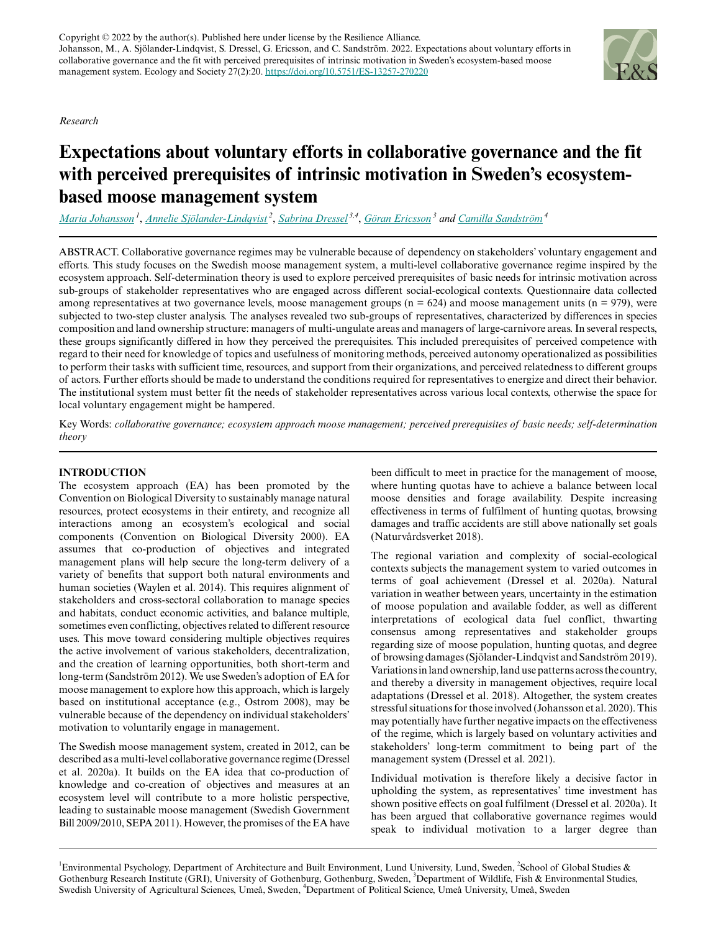*Research*

# **Expectations about voluntary efforts in collaborative governance and the fit with perceived prerequisites of intrinsic motivation in Sweden's ecosystembased moose management system**

*[Maria Johansson](mailto:maria.johansson@mpe.lth.se)<sup>1</sup>* , *[Annelie Sjölander-Lindqvist](mailto:annelie.sjolander-lindqvist@gu.se)<sup>2</sup>* , *[Sabrina Dressel](mailto:sabrina.dressel@slu.se) 3,4* , *[Göran Ericsson](mailto:goran.ericsson@slu.se)<sup>3</sup> and [Camilla Sandström](mailto:camilla.sandstrom@umu.se)<sup>4</sup>*

ABSTRACT. Collaborative governance regimes may be vulnerable because of dependency on stakeholders' voluntary engagement and efforts. This study focuses on the Swedish moose management system, a multi-level collaborative governance regime inspired by the ecosystem approach. Self-determination theory is used to explore perceived prerequisites of basic needs for intrinsic motivation across sub-groups of stakeholder representatives who are engaged across different social-ecological contexts. Questionnaire data collected among representatives at two governance levels, moose management groups ( $n = 624$ ) and moose management units ( $n = 979$ ), were subjected to two-step cluster analysis. The analyses revealed two sub-groups of representatives, characterized by differences in species composition and land ownership structure: managers of multi-ungulate areas and managers of large-carnivore areas. In several respects, these groups significantly differed in how they perceived the prerequisites. This included prerequisites of perceived competence with regard to their need for knowledge of topics and usefulness of monitoring methods, perceived autonomy operationalized as possibilities to perform their tasks with sufficient time, resources, and support from their organizations, and perceived relatedness to different groups of actors. Further efforts should be made to understand the conditions required for representatives to energize and direct their behavior. The institutional system must better fit the needs of stakeholder representatives across various local contexts, otherwise the space for local voluntary engagement might be hampered.

Key Words: *collaborative governance; ecosystem approach moose management; perceived prerequisites of basic needs; self-determination theory*

#### **INTRODUCTION**

The ecosystem approach (EA) has been promoted by the Convention on Biological Diversity to sustainably manage natural resources, protect ecosystems in their entirety, and recognize all interactions among an ecosystem's ecological and social components (Convention on Biological Diversity 2000). EA assumes that co-production of objectives and integrated management plans will help secure the long-term delivery of a variety of benefits that support both natural environments and human societies (Waylen et al. 2014). This requires alignment of stakeholders and cross-sectoral collaboration to manage species and habitats, conduct economic activities, and balance multiple, sometimes even conflicting, objectives related to different resource uses. This move toward considering multiple objectives requires the active involvement of various stakeholders, decentralization, and the creation of learning opportunities, both short-term and long-term (Sandström 2012). We use Sweden's adoption of EA for moose management to explore how this approach, which is largely based on institutional acceptance (e.g., Ostrom 2008), may be vulnerable because of the dependency on individual stakeholders' motivation to voluntarily engage in management.

The Swedish moose management system, created in 2012, can be described as a multi-level collaborative governance regime (Dressel et al. 2020a). It builds on the EA idea that co-production of knowledge and co-creation of objectives and measures at an ecosystem level will contribute to a more holistic perspective, leading to sustainable moose management (Swedish Government Bill 2009/2010, SEPA 2011). However, the promises of the EA have

been difficult to meet in practice for the management of moose, where hunting quotas have to achieve a balance between local moose densities and forage availability. Despite increasing effectiveness in terms of fulfilment of hunting quotas, browsing damages and traffic accidents are still above nationally set goals (Naturvårdsverket 2018).

The regional variation and complexity of social-ecological contexts subjects the management system to varied outcomes in terms of goal achievement (Dressel et al. 2020a). Natural variation in weather between years, uncertainty in the estimation of moose population and available fodder, as well as different interpretations of ecological data fuel conflict, thwarting consensus among representatives and stakeholder groups regarding size of moose population, hunting quotas, and degree of browsing damages (Sjölander-Lindqvist and Sandström 2019). Variations in land ownership, land use patterns across the country, and thereby a diversity in management objectives, require local adaptations (Dressel et al. 2018). Altogether, the system creates stressful situations for those involved (Johansson et al. 2020). This may potentially have further negative impacts on the effectiveness of the regime, which is largely based on voluntary activities and stakeholders' long-term commitment to being part of the management system (Dressel et al. 2021).

Individual motivation is therefore likely a decisive factor in upholding the system, as representatives' time investment has shown positive effects on goal fulfilment (Dressel et al. 2020a). It has been argued that collaborative governance regimes would speak to individual motivation to a larger degree than



<sup>&</sup>lt;sup>1</sup>Environmental Psychology, Department of Architecture and Built Environment, Lund University, Lund, Sweden, <sup>2</sup>School of Global Studies & Gothenburg Research Institute (GRI), University of Gothenburg, Gothenburg, Sweden, <sup>3</sup>Department of Wildlife, Fish & Environmental Studies, Swedish University of Agricultural Sciences, Umeå, Sweden, <sup>4</sup>Department of Political Science, Umeå University, Umeå, Sweden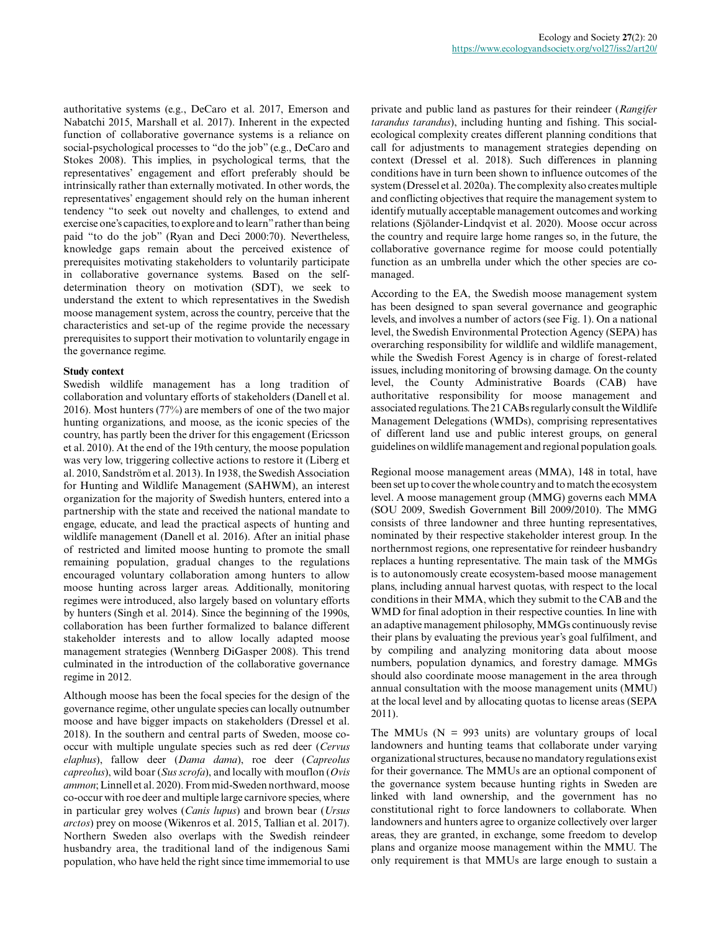authoritative systems (e.g., DeCaro et al. 2017, Emerson and Nabatchi 2015, Marshall et al. 2017). Inherent in the expected function of collaborative governance systems is a reliance on social-psychological processes to "do the job" (e.g., DeCaro and Stokes 2008). This implies, in psychological terms, that the representatives' engagement and effort preferably should be intrinsically rather than externally motivated. In other words, the representatives' engagement should rely on the human inherent tendency "to seek out novelty and challenges, to extend and exercise one's capacities, to explore and to learn" rather than being paid "to do the job" (Ryan and Deci 2000:70). Nevertheless, knowledge gaps remain about the perceived existence of prerequisites motivating stakeholders to voluntarily participate in collaborative governance systems. Based on the selfdetermination theory on motivation (SDT), we seek to understand the extent to which representatives in the Swedish moose management system, across the country, perceive that the characteristics and set-up of the regime provide the necessary prerequisites to support their motivation to voluntarily engage in the governance regime.

#### **Study context**

Swedish wildlife management has a long tradition of collaboration and voluntary efforts of stakeholders (Danell et al. 2016). Most hunters (77%) are members of one of the two major hunting organizations, and moose, as the iconic species of the country, has partly been the driver for this engagement (Ericsson et al. 2010). At the end of the 19th century, the moose population was very low, triggering collective actions to restore it (Liberg et al. 2010, Sandström et al. 2013). In 1938, the Swedish Association for Hunting and Wildlife Management (SAHWM), an interest organization for the majority of Swedish hunters, entered into a partnership with the state and received the national mandate to engage, educate, and lead the practical aspects of hunting and wildlife management (Danell et al. 2016). After an initial phase of restricted and limited moose hunting to promote the small remaining population, gradual changes to the regulations encouraged voluntary collaboration among hunters to allow moose hunting across larger areas. Additionally, monitoring regimes were introduced, also largely based on voluntary efforts by hunters (Singh et al. 2014). Since the beginning of the 1990s, collaboration has been further formalized to balance different stakeholder interests and to allow locally adapted moose management strategies (Wennberg DiGasper 2008). This trend culminated in the introduction of the collaborative governance regime in 2012.

Although moose has been the focal species for the design of the governance regime, other ungulate species can locally outnumber moose and have bigger impacts on stakeholders (Dressel et al. 2018). In the southern and central parts of Sweden, moose cooccur with multiple ungulate species such as red deer (*Cervus elaphus*), fallow deer (*Dama dama*), roe deer (*Capreolus capreolus*), wild boar (*Sus scrofa*), and locally with mouflon (*Ovis ammon*; Linnell et al. 2020). From mid-Sweden northward, moose co-occur with roe deer and multiple large carnivore species, where in particular grey wolves (*Canis lupus*) and brown bear (*Ursus arctos*) prey on moose (Wikenros et al. 2015, Tallian et al. 2017). Northern Sweden also overlaps with the Swedish reindeer husbandry area, the traditional land of the indigenous Sami population, who have held the right since time immemorial to use

private and public land as pastures for their reindeer (*Rangifer tarandus tarandus*), including hunting and fishing. This socialecological complexity creates different planning conditions that call for adjustments to management strategies depending on context (Dressel et al. 2018). Such differences in planning conditions have in turn been shown to influence outcomes of the system (Dressel et al. 2020a). The complexity also creates multiple and conflicting objectives that require the management system to identify mutually acceptable management outcomes and working relations (Sjölander-Lindqvist et al. 2020). Moose occur across the country and require large home ranges so, in the future, the collaborative governance regime for moose could potentially function as an umbrella under which the other species are comanaged.

According to the EA, the Swedish moose management system has been designed to span several governance and geographic levels, and involves a number of actors (see Fig. 1). On a national level, the Swedish Environmental Protection Agency (SEPA) has overarching responsibility for wildlife and wildlife management, while the Swedish Forest Agency is in charge of forest-related issues, including monitoring of browsing damage. On the county level, the County Administrative Boards (CAB) have authoritative responsibility for moose management and associated regulations. The 21 CABs regularly consult the Wildlife Management Delegations (WMDs), comprising representatives of different land use and public interest groups, on general guidelines on wildlife management and regional population goals.

Regional moose management areas (MMA), 148 in total, have been set up to cover the whole country and to match the ecosystem level. A moose management group (MMG) governs each MMA (SOU 2009, Swedish Government Bill 2009/2010). The MMG consists of three landowner and three hunting representatives, nominated by their respective stakeholder interest group. In the northernmost regions, one representative for reindeer husbandry replaces a hunting representative. The main task of the MMGs is to autonomously create ecosystem-based moose management plans, including annual harvest quotas, with respect to the local conditions in their MMA, which they submit to the CAB and the WMD for final adoption in their respective counties. In line with an adaptive management philosophy, MMGs continuously revise their plans by evaluating the previous year's goal fulfilment, and by compiling and analyzing monitoring data about moose numbers, population dynamics, and forestry damage. MMGs should also coordinate moose management in the area through annual consultation with the moose management units (MMU) at the local level and by allocating quotas to license areas (SEPA 2011).

The MMUs ( $N = 993$  units) are voluntary groups of local landowners and hunting teams that collaborate under varying organizational structures, because no mandatory regulations exist for their governance. The MMUs are an optional component of the governance system because hunting rights in Sweden are linked with land ownership, and the government has no constitutional right to force landowners to collaborate. When landowners and hunters agree to organize collectively over larger areas, they are granted, in exchange, some freedom to develop plans and organize moose management within the MMU. The only requirement is that MMUs are large enough to sustain a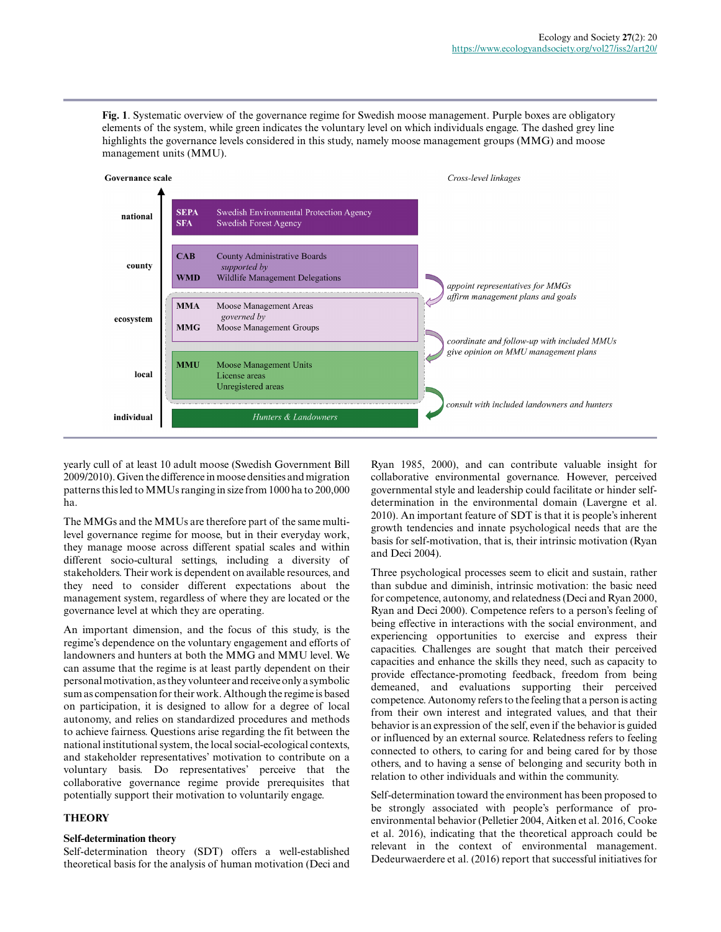**Fig. 1**. Systematic overview of the governance regime for Swedish moose management. Purple boxes are obligatory elements of the system, while green indicates the voluntary level on which individuals engage. The dashed grey line highlights the governance levels considered in this study, namely moose management groups (MMG) and moose management units (MMU).



yearly cull of at least 10 adult moose (Swedish Government Bill 2009/2010). Given the difference in moose densities and migration patterns this led to MMUs ranging in size from 1000 ha to 200,000 ha.

The MMGs and the MMUs are therefore part of the same multilevel governance regime for moose, but in their everyday work, they manage moose across different spatial scales and within different socio-cultural settings, including a diversity of stakeholders. Their work is dependent on available resources, and they need to consider different expectations about the management system, regardless of where they are located or the governance level at which they are operating.

An important dimension, and the focus of this study, is the regime's dependence on the voluntary engagement and efforts of landowners and hunters at both the MMG and MMU level. We can assume that the regime is at least partly dependent on their personal motivation, as they volunteer and receive only a symbolic sum as compensation for their work. Although the regime is based on participation, it is designed to allow for a degree of local autonomy, and relies on standardized procedures and methods to achieve fairness. Questions arise regarding the fit between the national institutional system, the local social-ecological contexts, and stakeholder representatives' motivation to contribute on a voluntary basis. Do representatives' perceive that the collaborative governance regime provide prerequisites that potentially support their motivation to voluntarily engage.

### **THEORY**

#### **Self-determination theory**

Self-determination theory (SDT) offers a well-established theoretical basis for the analysis of human motivation (Deci and Ryan 1985, 2000), and can contribute valuable insight for collaborative environmental governance. However, perceived governmental style and leadership could facilitate or hinder selfdetermination in the environmental domain (Lavergne et al. 2010). An important feature of SDT is that it is people's inherent growth tendencies and innate psychological needs that are the basis for self-motivation, that is, their intrinsic motivation (Ryan and Deci 2004).

Three psychological processes seem to elicit and sustain, rather than subdue and diminish, intrinsic motivation: the basic need for competence, autonomy, and relatedness (Deci and Ryan 2000, Ryan and Deci 2000). Competence refers to a person's feeling of being effective in interactions with the social environment, and experiencing opportunities to exercise and express their capacities. Challenges are sought that match their perceived capacities and enhance the skills they need, such as capacity to provide effectance-promoting feedback, freedom from being demeaned, and evaluations supporting their perceived competence. Autonomy refers to the feeling that a person is acting from their own interest and integrated values, and that their behavior is an expression of the self, even if the behavior is guided or influenced by an external source. Relatedness refers to feeling connected to others, to caring for and being cared for by those others, and to having a sense of belonging and security both in relation to other individuals and within the community.

Self-determination toward the environment has been proposed to be strongly associated with people's performance of proenvironmental behavior (Pelletier 2004, Aitken et al. 2016, Cooke et al. 2016), indicating that the theoretical approach could be relevant in the context of environmental management. Dedeurwaerdere et al. (2016) report that successful initiatives for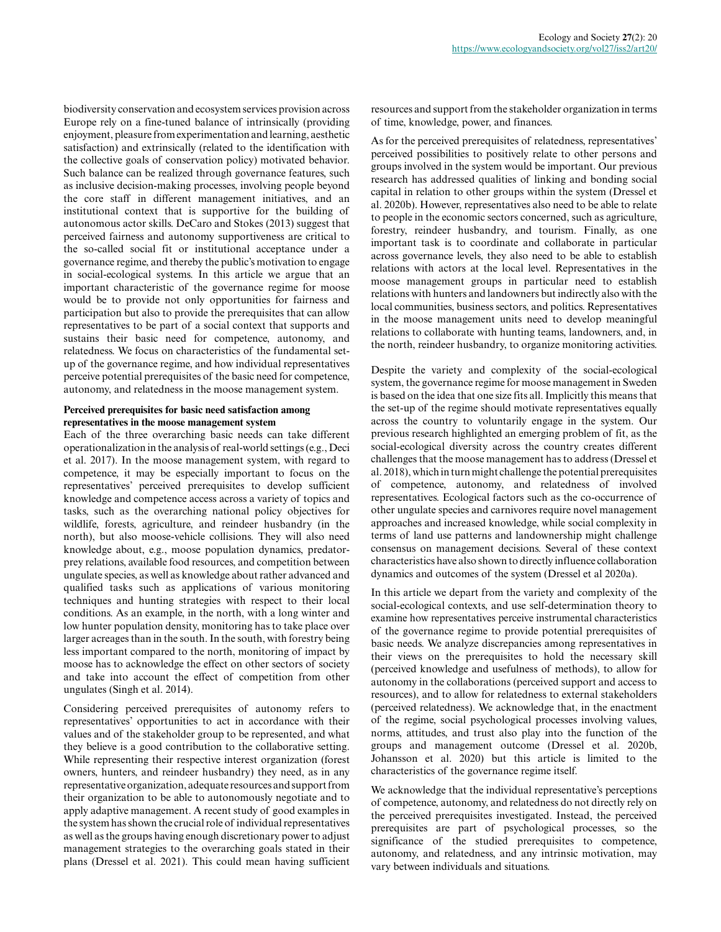biodiversity conservation and ecosystem services provision across Europe rely on a fine-tuned balance of intrinsically (providing enjoyment, pleasure from experimentation and learning, aesthetic satisfaction) and extrinsically (related to the identification with the collective goals of conservation policy) motivated behavior. Such balance can be realized through governance features, such as inclusive decision-making processes, involving people beyond the core staff in different management initiatives, and an institutional context that is supportive for the building of autonomous actor skills. DeCaro and Stokes (2013) suggest that perceived fairness and autonomy supportiveness are critical to the so-called social fit or institutional acceptance under a governance regime, and thereby the public's motivation to engage in social-ecological systems. In this article we argue that an important characteristic of the governance regime for moose would be to provide not only opportunities for fairness and participation but also to provide the prerequisites that can allow representatives to be part of a social context that supports and sustains their basic need for competence, autonomy, and relatedness. We focus on characteristics of the fundamental setup of the governance regime, and how individual representatives perceive potential prerequisites of the basic need for competence, autonomy, and relatedness in the moose management system.

#### **Perceived prerequisites for basic need satisfaction among representatives in the moose management system**

Each of the three overarching basic needs can take different operationalization in the analysis of real-world settings (e.g., Deci et al. 2017). In the moose management system, with regard to competence, it may be especially important to focus on the representatives' perceived prerequisites to develop sufficient knowledge and competence access across a variety of topics and tasks, such as the overarching national policy objectives for wildlife, forests, agriculture, and reindeer husbandry (in the north), but also moose-vehicle collisions. They will also need knowledge about, e.g., moose population dynamics, predatorprey relations, available food resources, and competition between ungulate species, as well as knowledge about rather advanced and qualified tasks such as applications of various monitoring techniques and hunting strategies with respect to their local conditions. As an example, in the north, with a long winter and low hunter population density, monitoring has to take place over larger acreages than in the south. In the south, with forestry being less important compared to the north, monitoring of impact by moose has to acknowledge the effect on other sectors of society and take into account the effect of competition from other ungulates (Singh et al. 2014).

Considering perceived prerequisites of autonomy refers to representatives' opportunities to act in accordance with their values and of the stakeholder group to be represented, and what they believe is a good contribution to the collaborative setting. While representing their respective interest organization (forest owners, hunters, and reindeer husbandry) they need, as in any representative organization, adequate resources and support from their organization to be able to autonomously negotiate and to apply adaptive management. A recent study of good examples in the system has shown the crucial role of individual representatives as well as the groups having enough discretionary power to adjust management strategies to the overarching goals stated in their plans (Dressel et al. 2021). This could mean having sufficient resources and support from the stakeholder organization in terms of time, knowledge, power, and finances.

As for the perceived prerequisites of relatedness, representatives' perceived possibilities to positively relate to other persons and groups involved in the system would be important. Our previous research has addressed qualities of linking and bonding social capital in relation to other groups within the system (Dressel et al. 2020b). However, representatives also need to be able to relate to people in the economic sectors concerned, such as agriculture, forestry, reindeer husbandry, and tourism. Finally, as one important task is to coordinate and collaborate in particular across governance levels, they also need to be able to establish relations with actors at the local level. Representatives in the moose management groups in particular need to establish relations with hunters and landowners but indirectly also with the local communities, business sectors, and politics. Representatives in the moose management units need to develop meaningful relations to collaborate with hunting teams, landowners, and, in the north, reindeer husbandry, to organize monitoring activities.

Despite the variety and complexity of the social-ecological system, the governance regime for moose management in Sweden is based on the idea that one size fits all. Implicitly this means that the set-up of the regime should motivate representatives equally across the country to voluntarily engage in the system. Our previous research highlighted an emerging problem of fit, as the social-ecological diversity across the country creates different challenges that the moose management has to address (Dressel et al. 2018), which in turn might challenge the potential prerequisites of competence, autonomy, and relatedness of involved representatives. Ecological factors such as the co-occurrence of other ungulate species and carnivores require novel management approaches and increased knowledge, while social complexity in terms of land use patterns and landownership might challenge consensus on management decisions. Several of these context characteristics have also shown to directly influence collaboration dynamics and outcomes of the system (Dressel et al 2020a).

In this article we depart from the variety and complexity of the social-ecological contexts, and use self-determination theory to examine how representatives perceive instrumental characteristics of the governance regime to provide potential prerequisites of basic needs. We analyze discrepancies among representatives in their views on the prerequisites to hold the necessary skill (perceived knowledge and usefulness of methods), to allow for autonomy in the collaborations (perceived support and access to resources), and to allow for relatedness to external stakeholders (perceived relatedness). We acknowledge that, in the enactment of the regime, social psychological processes involving values, norms, attitudes, and trust also play into the function of the groups and management outcome (Dressel et al. 2020b, Johansson et al. 2020) but this article is limited to the characteristics of the governance regime itself.

We acknowledge that the individual representative's perceptions of competence, autonomy, and relatedness do not directly rely on the perceived prerequisites investigated. Instead, the perceived prerequisites are part of psychological processes, so the significance of the studied prerequisites to competence, autonomy, and relatedness, and any intrinsic motivation, may vary between individuals and situations.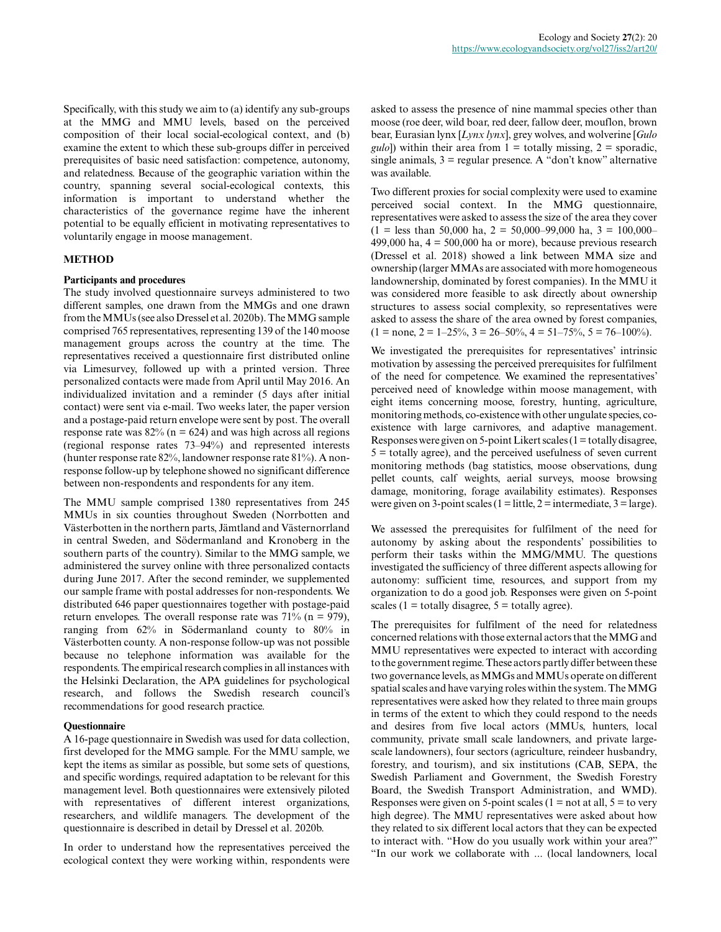Specifically, with this study we aim to (a) identify any sub-groups at the MMG and MMU levels, based on the perceived composition of their local social-ecological context, and (b) examine the extent to which these sub-groups differ in perceived prerequisites of basic need satisfaction: competence, autonomy, and relatedness. Because of the geographic variation within the country, spanning several social-ecological contexts, this information is important to understand whether the characteristics of the governance regime have the inherent potential to be equally efficient in motivating representatives to voluntarily engage in moose management.

#### **METHOD**

#### **Participants and procedures**

The study involved questionnaire surveys administered to two different samples, one drawn from the MMGs and one drawn from the MMUs (see also Dressel et al. 2020b). The MMG sample comprised 765 representatives, representing 139 of the 140 moose management groups across the country at the time. The representatives received a questionnaire first distributed online via Limesurvey, followed up with a printed version. Three personalized contacts were made from April until May 2016. An individualized invitation and a reminder (5 days after initial contact) were sent via e-mail. Two weeks later, the paper version and a postage-paid return envelope were sent by post. The overall response rate was  $82\%$  (n = 624) and was high across all regions (regional response rates 73–94%) and represented interests (hunter response rate 82%, landowner response rate 81%). A nonresponse follow-up by telephone showed no significant difference between non-respondents and respondents for any item.

The MMU sample comprised 1380 representatives from 245 MMUs in six counties throughout Sweden (Norrbotten and Västerbotten in the northern parts, Jämtland and Västernorrland in central Sweden, and Södermanland and Kronoberg in the southern parts of the country). Similar to the MMG sample, we administered the survey online with three personalized contacts during June 2017. After the second reminder, we supplemented our sample frame with postal addresses for non-respondents. We distributed 646 paper questionnaires together with postage-paid return envelopes. The overall response rate was  $71\%$  (n = 979), ranging from 62% in Södermanland county to 80% in Västerbotten county. A non-response follow-up was not possible because no telephone information was available for the respondents. The empirical research complies in all instances with the Helsinki Declaration, the APA guidelines for psychological research, and follows the Swedish research council's recommendations for good research practice.

#### **Questionnaire**

A 16-page questionnaire in Swedish was used for data collection, first developed for the MMG sample. For the MMU sample, we kept the items as similar as possible, but some sets of questions, and specific wordings, required adaptation to be relevant for this management level. Both questionnaires were extensively piloted with representatives of different interest organizations, researchers, and wildlife managers. The development of the questionnaire is described in detail by Dressel et al. 2020b.

In order to understand how the representatives perceived the ecological context they were working within, respondents were

asked to assess the presence of nine mammal species other than moose (roe deer, wild boar, red deer, fallow deer, mouflon, brown bear, Eurasian lynx [*Lynx lynx*], grey wolves, and wolverine [*Gulo gulo*]) within their area from  $1 =$  totally missing,  $2 =$  sporadic, single animals,  $3 =$  regular presence. A "don't know" alternative was available.

Two different proxies for social complexity were used to examine perceived social context. In the MMG questionnaire, representatives were asked to assess the size of the area they cover  $(1 =$  less than 50,000 ha,  $2 = 50,000-99,000$  ha,  $3 = 100,000-$ 499,000 ha,  $4 = 500,000$  ha or more), because previous research (Dressel et al. 2018) showed a link between MMA size and ownership (larger MMAs are associated with more homogeneous landownership, dominated by forest companies). In the MMU it was considered more feasible to ask directly about ownership structures to assess social complexity, so representatives were asked to assess the share of the area owned by forest companies,  $(1 = none, 2 = 1-25\%, 3 = 26-50\%, 4 = 51-75\%, 5 = 76-100\%).$ 

We investigated the prerequisites for representatives' intrinsic motivation by assessing the perceived prerequisites for fulfilment of the need for competence. We examined the representatives' perceived need of knowledge within moose management, with eight items concerning moose, forestry, hunting, agriculture, monitoring methods, co-existence with other ungulate species, coexistence with large carnivores, and adaptive management. Responses were given on 5-point Likert scales  $(1 = \text{totally disagree},$  $5 =$  totally agree), and the perceived usefulness of seven current monitoring methods (bag statistics, moose observations, dung pellet counts, calf weights, aerial surveys, moose browsing damage, monitoring, forage availability estimates). Responses were given on 3-point scales (1 = little,  $2 =$  intermediate,  $3 =$  large).

We assessed the prerequisites for fulfilment of the need for autonomy by asking about the respondents' possibilities to perform their tasks within the MMG/MMU. The questions investigated the sufficiency of three different aspects allowing for autonomy: sufficient time, resources, and support from my organization to do a good job. Responses were given on 5-point scales (1 = totally disagree,  $5 =$  totally agree).

The prerequisites for fulfilment of the need for relatedness concerned relations with those external actors that the MMG and MMU representatives were expected to interact with according to the government regime. These actors partly differ between these two governance levels, as MMGs and MMUs operate on different spatial scales and have varying roles within the system. The MMG representatives were asked how they related to three main groups in terms of the extent to which they could respond to the needs and desires from five local actors (MMUs, hunters, local community, private small scale landowners, and private largescale landowners), four sectors (agriculture, reindeer husbandry, forestry, and tourism), and six institutions (CAB, SEPA, the Swedish Parliament and Government, the Swedish Forestry Board, the Swedish Transport Administration, and WMD). Responses were given on 5-point scales ( $1 = not at all, 5 = to very$ ) high degree). The MMU representatives were asked about how they related to six different local actors that they can be expected to interact with. "How do you usually work within your area?" "In our work we collaborate with ... (local landowners, local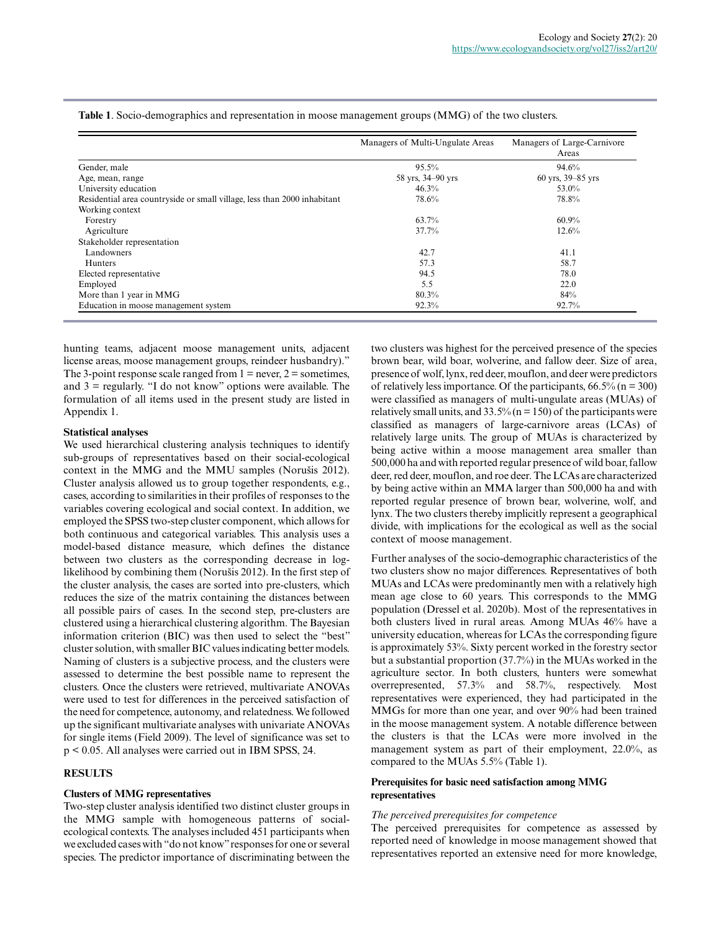|                                                                          | Managers of Multi-Ungulate Areas | Managers of Large-Carnivore<br>Areas |
|--------------------------------------------------------------------------|----------------------------------|--------------------------------------|
| Gender, male                                                             | 95.5%                            | 94.6%                                |
| Age, mean, range                                                         | 58 yrs, 34–90 yrs                | 60 yrs, 39–85 yrs                    |
| University education                                                     | 46.3%                            | 53.0%                                |
| Residential area countryside or small village, less than 2000 inhabitant | 78.6%                            | 78.8%                                |
| Working context                                                          |                                  |                                      |
| Forestry                                                                 | 63.7%                            | 60.9%                                |
| Agriculture                                                              | 37.7%                            | 12.6%                                |
| Stakeholder representation                                               |                                  |                                      |
| Landowners                                                               | 42.7                             | 41.1                                 |
| <b>Hunters</b>                                                           | 57.3                             | 58.7                                 |
| Elected representative                                                   | 94.5                             | 78.0                                 |
| Employed                                                                 | 5.5                              | 22.0                                 |
| More than 1 year in MMG                                                  | 80.3%                            | 84%                                  |
| Education in moose management system                                     | 92.3%                            | 92.7%                                |

**Table 1**. Socio-demographics and representation in moose management groups (MMG) of the two clusters.

hunting teams, adjacent moose management units, adjacent license areas, moose management groups, reindeer husbandry)." The 3-point response scale ranged from  $1 =$  never,  $2 =$  sometimes, and  $3 =$  regularly. "I do not know" options were available. The formulation of all items used in the present study are listed in Appendix 1.

#### **Statistical analyses**

We used hierarchical clustering analysis techniques to identify sub-groups of representatives based on their social-ecological context in the MMG and the MMU samples (Norušis 2012). Cluster analysis allowed us to group together respondents, e.g., cases, according to similarities in their profiles of responses to the variables covering ecological and social context. In addition, we employed the SPSS two-step cluster component, which allows for both continuous and categorical variables. This analysis uses a model-based distance measure, which defines the distance between two clusters as the corresponding decrease in loglikelihood by combining them (Norušis 2012). In the first step of the cluster analysis, the cases are sorted into pre-clusters, which reduces the size of the matrix containing the distances between all possible pairs of cases. In the second step, pre-clusters are clustered using a hierarchical clustering algorithm. The Bayesian information criterion (BIC) was then used to select the "best" cluster solution, with smaller BIC values indicating better models. Naming of clusters is a subjective process, and the clusters were assessed to determine the best possible name to represent the clusters. Once the clusters were retrieved, multivariate ANOVAs were used to test for differences in the perceived satisfaction of the need for competence, autonomy, and relatedness. We followed up the significant multivariate analyses with univariate ANOVAs for single items (Field 2009). The level of significance was set to p < 0.05. All analyses were carried out in IBM SPSS, 24.

#### **RESULTS**

#### **Clusters of MMG representatives**

Two-step cluster analysis identified two distinct cluster groups in the MMG sample with homogeneous patterns of socialecological contexts. The analyses included 451 participants when we excluded cases with "do not know" responses for one or several species. The predictor importance of discriminating between the

two clusters was highest for the perceived presence of the species brown bear, wild boar, wolverine, and fallow deer. Size of area, presence of wolf, lynx, red deer, mouflon, and deer were predictors of relatively less importance. Of the participants,  $66.5\%$  (n = 300) were classified as managers of multi-ungulate areas (MUAs) of relatively small units, and  $33.5\%$  (n = 150) of the participants were classified as managers of large-carnivore areas (LCAs) of relatively large units. The group of MUAs is characterized by being active within a moose management area smaller than 500,000 ha and with reported regular presence of wild boar, fallow deer, red deer, mouflon, and roe deer. The LCAs are characterized by being active within an MMA larger than 500,000 ha and with reported regular presence of brown bear, wolverine, wolf, and lynx. The two clusters thereby implicitly represent a geographical divide, with implications for the ecological as well as the social context of moose management.

Further analyses of the socio-demographic characteristics of the two clusters show no major differences. Representatives of both MUAs and LCAs were predominantly men with a relatively high mean age close to 60 years. This corresponds to the MMG population (Dressel et al. 2020b). Most of the representatives in both clusters lived in rural areas. Among MUAs 46% have a university education, whereas for LCAs the corresponding figure is approximately 53%. Sixty percent worked in the forestry sector but a substantial proportion (37.7%) in the MUAs worked in the agriculture sector. In both clusters, hunters were somewhat overrepresented, 57.3% and 58.7%, respectively. Most representatives were experienced, they had participated in the MMGs for more than one year, and over 90% had been trained in the moose management system. A notable difference between the clusters is that the LCAs were more involved in the management system as part of their employment, 22.0%, as compared to the MUAs 5.5% (Table 1).

#### **Prerequisites for basic need satisfaction among MMG representatives**

#### *The perceived prerequisites for competence*

The perceived prerequisites for competence as assessed by reported need of knowledge in moose management showed that representatives reported an extensive need for more knowledge,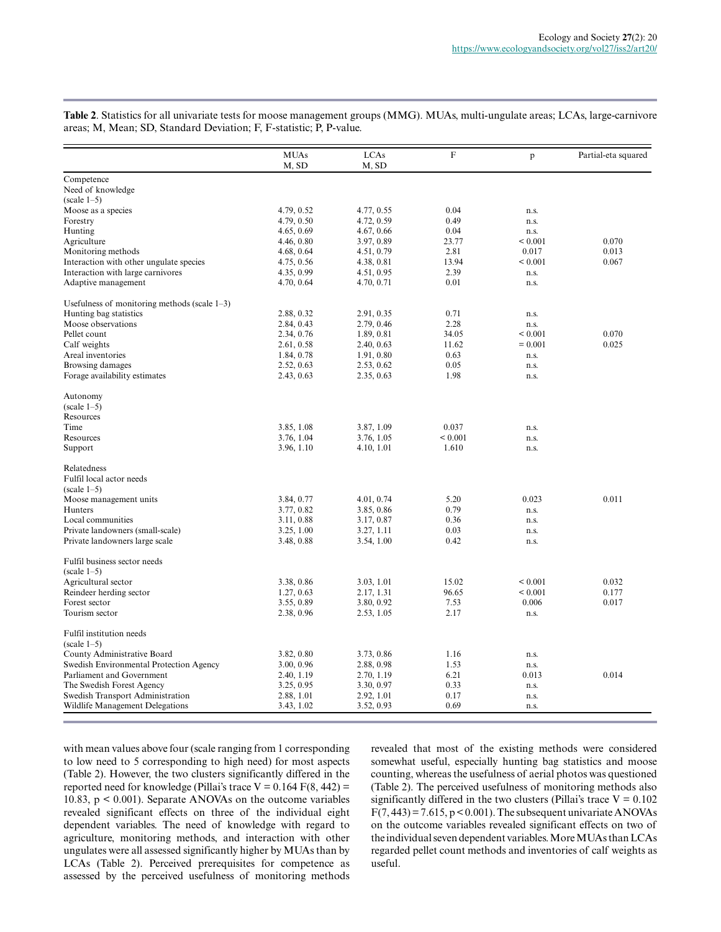|                                                 | <b>MUAs</b><br>M, SD | LCAs<br>M, SD | $\boldsymbol{\mathrm{F}}$ | p                 | Partial-eta squared |
|-------------------------------------------------|----------------------|---------------|---------------------------|-------------------|---------------------|
| Competence                                      |                      |               |                           |                   |                     |
| Need of knowledge                               |                      |               |                           |                   |                     |
| $(scale 1-5)$                                   |                      |               |                           |                   |                     |
| Moose as a species                              | 4.79, 0.52           | 4.77, 0.55    | 0.04                      | n.s.              |                     |
| Forestry                                        | 4.79, 0.50           | 4.72, 0.59    | 0.49                      | n.s.              |                     |
| Hunting                                         | 4.65, 0.69           | 4.67, 0.66    | 0.04                      | n.s.              |                     |
| Agriculture                                     | 4.46, 0.80           | 3.97, 0.89    | 23.77                     | ${}< 0.001$       | 0.070               |
| Monitoring methods                              | 4.68, 0.64           | 4.51, 0.79    | 2.81                      | 0.017             | 0.013               |
| Interaction with other ungulate species         | 4.75, 0.56           | 4.38, 0.81    | 13.94                     | < 0.001           | 0.067               |
| Interaction with large carnivores               | 4.35, 0.99           | 4.51, 0.95    | 2.39                      | n.s.              |                     |
| Adaptive management                             | 4.70, 0.64           | 4.70, 0.71    | 0.01                      | n.s.              |                     |
| Usefulness of monitoring methods (scale $1-3$ ) |                      |               |                           |                   |                     |
| Hunting bag statistics                          | 2.88, 0.32           | 2.91, 0.35    | 0.71                      | n.s.              |                     |
| Moose observations                              | 2.84, 0.43           | 2.79, 0.46    | 2.28                      | n.s.              |                     |
| Pellet count                                    | 2.34, 0.76           | 1.89, 0.81    | 34.05                     | ${}_{0.001}$      | 0.070               |
| Calf weights                                    | 2.61, 0.58           | 2.40, 0.63    | 11.62                     | $= 0.001$         | 0.025               |
| Areal inventories                               | 1.84, 0.78           | 1.91, 0.80    | 0.63                      | n.s.              |                     |
| Browsing damages                                | 2.52, 0.63           | 2.53, 0.62    | 0.05                      | n.s.              |                     |
| Forage availability estimates                   | 2.43, 0.63           | 2.35, 0.63    | 1.98                      | n.s.              |                     |
| Autonomy                                        |                      |               |                           |                   |                     |
| $(scale 1-5)$                                   |                      |               |                           |                   |                     |
| Resources                                       |                      |               |                           |                   |                     |
| Time                                            | 3.85, 1.08           | 3.87, 1.09    | 0.037                     | n.s.              |                     |
| Resources                                       | 3.76, 1.04           | 3.76, 1.05    | < 0.001                   | n.s.              |                     |
| Support                                         | 3.96, 1.10           | 4.10, 1.01    | 1.610                     | n.s.              |                     |
| Relatedness                                     |                      |               |                           |                   |                     |
| Fulfil local actor needs                        |                      |               |                           |                   |                     |
| $(scale 1-5)$                                   |                      |               |                           |                   |                     |
| Moose management units                          | 3.84, 0.77           | 4.01, 0.74    | 5.20                      | 0.023             | 0.011               |
| Hunters                                         | 3.77, 0.82           | 3.85, 0.86    | 0.79                      | n.s.              |                     |
| Local communities                               | 3.11, 0.88           | 3.17, 0.87    | 0.36                      | n.s.              |                     |
| Private landowners (small-scale)                | 3.25, 1.00           | 3.27, 1.11    | 0.03                      | n.s.              |                     |
| Private landowners large scale                  | 3.48, 0.88           | 3.54, 1.00    | 0.42                      | n.s.              |                     |
| Fulfil business sector needs                    |                      |               |                           |                   |                     |
| $(scale 1-5)$                                   |                      |               |                           |                   |                     |
| Agricultural sector                             | 3.38, 0.86           | 3.03, 1.01    | 15.02                     | ${}< 0.001$       | 0.032               |
| Reindeer herding sector                         | 1.27, 0.63           | 2.17, 1.31    | 96.65                     | ${}_{\leq 0.001}$ | 0.177               |
| Forest sector                                   | 3.55, 0.89           | 3.80, 0.92    | 7.53                      | 0.006             | 0.017               |
| Tourism sector                                  | 2.38, 0.96           | 2.53, 1.05    | 2.17                      | n.s.              |                     |
| Fulfil institution needs<br>$(scale 1-5)$       |                      |               |                           |                   |                     |
| County Administrative Board                     | 3.82, 0.80           | 3.73, 0.86    | 1.16                      | n.s.              |                     |
| Swedish Environmental Protection Agency         | 3.00, 0.96           | 2.88, 0.98    | 1.53                      | n.s.              |                     |
| Parliament and Government                       | 2.40, 1.19           | 2.70, 1.19    | 6.21                      | 0.013             | 0.014               |
| The Swedish Forest Agency                       | 3.25, 0.95           | 3.30, 0.97    | 0.33                      | n.s.              |                     |
| Swedish Transport Administration                | 2.88, 1.01           | 2.92, 1.01    | 0.17                      | n.s.              |                     |
| Wildlife Management Delegations                 | 3.43, 1.02           | 3.52, 0.93    | 0.69                      | n.s.              |                     |

**Table 2**. Statistics for all univariate tests for moose management groups (MMG). MUAs, multi-ungulate areas; LCAs, large-carnivore areas; M, Mean; SD, Standard Deviation; F, F-statistic; P, P-value.

with mean values above four (scale ranging from 1 corresponding to low need to 5 corresponding to high need) for most aspects (Table 2). However, the two clusters significantly differed in the reported need for knowledge (Pillai's trace  $V = 0.164$  F(8, 442) = 10.83, p < 0.001). Separate ANOVAs on the outcome variables revealed significant effects on three of the individual eight dependent variables. The need of knowledge with regard to agriculture, monitoring methods, and interaction with other ungulates were all assessed significantly higher by MUAs than by LCAs (Table 2). Perceived prerequisites for competence as assessed by the perceived usefulness of monitoring methods

revealed that most of the existing methods were considered somewhat useful, especially hunting bag statistics and moose counting, whereas the usefulness of aerial photos was questioned (Table 2). The perceived usefulness of monitoring methods also significantly differed in the two clusters (Pillai's trace  $V = 0.102$  $F(7, 443) = 7.615$ ,  $p < 0.001$ ). The subsequent univariate ANOVAs on the outcome variables revealed significant effects on two of the individual seven dependent variables. More MUAs than LCAs regarded pellet count methods and inventories of calf weights as useful.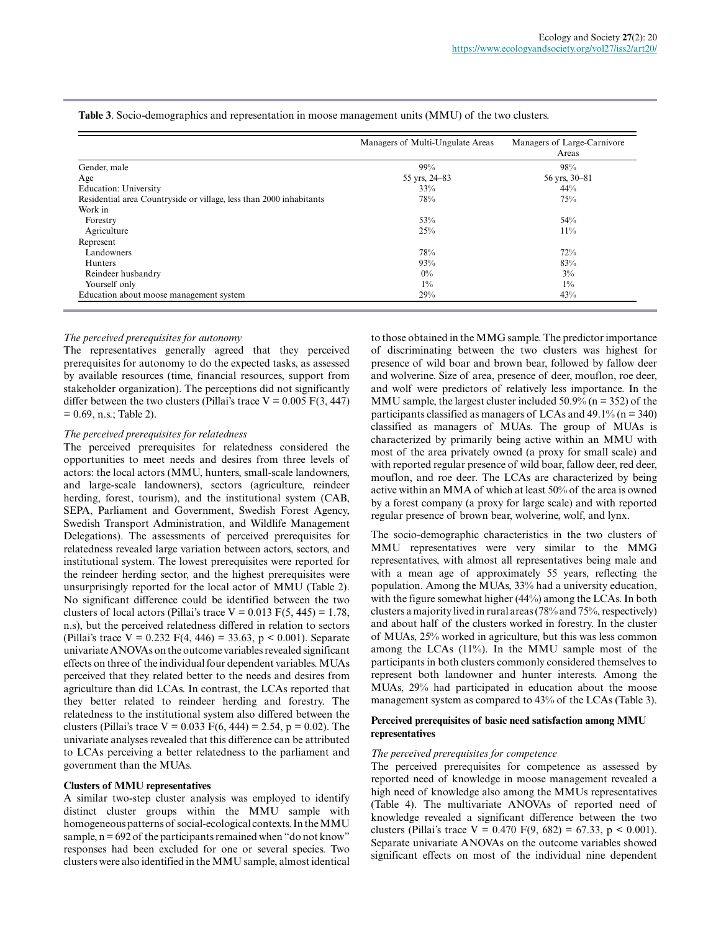|                                                                     | Managers of Multi-Ungulate Areas | Managers of Large-Carnivore<br>Areas |
|---------------------------------------------------------------------|----------------------------------|--------------------------------------|
| Gender, male                                                        | 99%                              | 98%                                  |
| Age                                                                 | 55 yrs, 24–83                    | 56 yrs, 30–81                        |
| <b>Education: University</b>                                        | 33%                              | 44%                                  |
| Residential area Countryside or village, less than 2000 inhabitants | 78%                              | 75%                                  |
| Work in                                                             |                                  |                                      |
| Forestry                                                            | 53%                              | 54%                                  |
| Agriculture                                                         | 25%                              | $11\%$                               |
| Represent                                                           |                                  |                                      |
| Landowners                                                          | 78%                              | 72%                                  |
| Hunters                                                             | 93%                              | 83%                                  |
| Reindeer husbandry                                                  | $0\%$                            | $3\%$                                |
| Yourself only                                                       | $1\%$                            | $1\%$                                |
| Education about moose management system                             | 29%                              | 43%                                  |

**Table 3**. Socio-demographics and representation in moose management units (MMU) of the two clusters.

#### *The perceived prerequisites for autonomy*

The representatives generally agreed that they perceived prerequisites for autonomy to do the expected tasks, as assessed by available resources (time, financial resources, support from stakeholder organization). The perceptions did not significantly differ between the two clusters (Pillai's trace  $V = 0.005 F(3, 447)$ )  $= 0.69$ , n.s.; Table 2).

#### *The perceived prerequisites for relatedness*

The perceived prerequisites for relatedness considered the opportunities to meet needs and desires from three levels of actors: the local actors (MMU, hunters, small-scale landowners, and large-scale landowners), sectors (agriculture, reindeer herding, forest, tourism), and the institutional system (CAB, SEPA, Parliament and Government, Swedish Forest Agency, Swedish Transport Administration, and Wildlife Management Delegations). The assessments of perceived prerequisites for relatedness revealed large variation between actors, sectors, and institutional system. The lowest prerequisites were reported for the reindeer herding sector, and the highest prerequisites were unsurprisingly reported for the local actor of MMU (Table 2). No significant difference could be identified between the two clusters of local actors (Pillai's trace  $V = 0.013$  F(5, 445) = 1.78, n.s), but the perceived relatedness differed in relation to sectors (Pillai's trace  $V = 0.232$  F(4, 446) = 33.63, p < 0.001). Separate univariate ANOVAs on the outcome variables revealed significant effects on three of the individual four dependent variables. MUAs perceived that they related better to the needs and desires from agriculture than did LCAs. In contrast, the LCAs reported that they better related to reindeer herding and forestry. The relatedness to the institutional system also differed between the clusters (Pillai's trace  $V = 0.033$  F(6, 444) = 2.54, p = 0.02). The univariate analyses revealed that this difference can be attributed to LCAs perceiving a better relatedness to the parliament and government than the MUAs.

#### **Clusters of MMU representatives**

A similar two-step cluster analysis was employed to identify distinct cluster groups within the MMU sample with homogeneous patterns of social-ecological contexts. In the MMU sample,  $n = 692$  of the participants remained when "do not know" responses had been excluded for one or several species. Two clusters were also identified in the MMU sample, almost identical to those obtained in the MMG sample. The predictor importance of discriminating between the two clusters was highest for presence of wild boar and brown bear, followed by fallow deer and wolverine. Size of area, presence of deer, mouflon, roe deer, and wolf were predictors of relatively less importance. In the MMU sample, the largest cluster included  $50.9\%$  (n = 352) of the participants classified as managers of LCAs and  $49.1\%$  (n = 340) classified as managers of MUAs. The group of MUAs is characterized by primarily being active within an MMU with most of the area privately owned (a proxy for small scale) and with reported regular presence of wild boar, fallow deer, red deer, mouflon, and roe deer. The LCAs are characterized by being active within an MMA of which at least 50% of the area is owned by a forest company (a proxy for large scale) and with reported regular presence of brown bear, wolverine, wolf, and lynx.

The socio-demographic characteristics in the two clusters of MMU representatives were very similar to the MMG representatives, with almost all representatives being male and with a mean age of approximately 55 years, reflecting the population. Among the MUAs, 33% had a university education, with the figure somewhat higher (44%) among the LCAs. In both clusters a majority lived in rural areas (78% and 75%, respectively) and about half of the clusters worked in forestry. In the cluster of MUAs, 25% worked in agriculture, but this was less common among the LCAs (11%). In the MMU sample most of the participants in both clusters commonly considered themselves to represent both landowner and hunter interests. Among the MUAs, 29% had participated in education about the moose management system as compared to 43% of the LCAs (Table 3).

#### **Perceived prerequisites of basic need satisfaction among MMU representatives**

#### *The perceived prerequisites for competence*

The perceived prerequisites for competence as assessed by reported need of knowledge in moose management revealed a high need of knowledge also among the MMUs representatives (Table 4). The multivariate ANOVAs of reported need of knowledge revealed a significant difference between the two clusters (Pillai's trace  $V = 0.470$  F(9, 682) = 67.33, p < 0.001). Separate univariate ANOVAs on the outcome variables showed significant effects on most of the individual nine dependent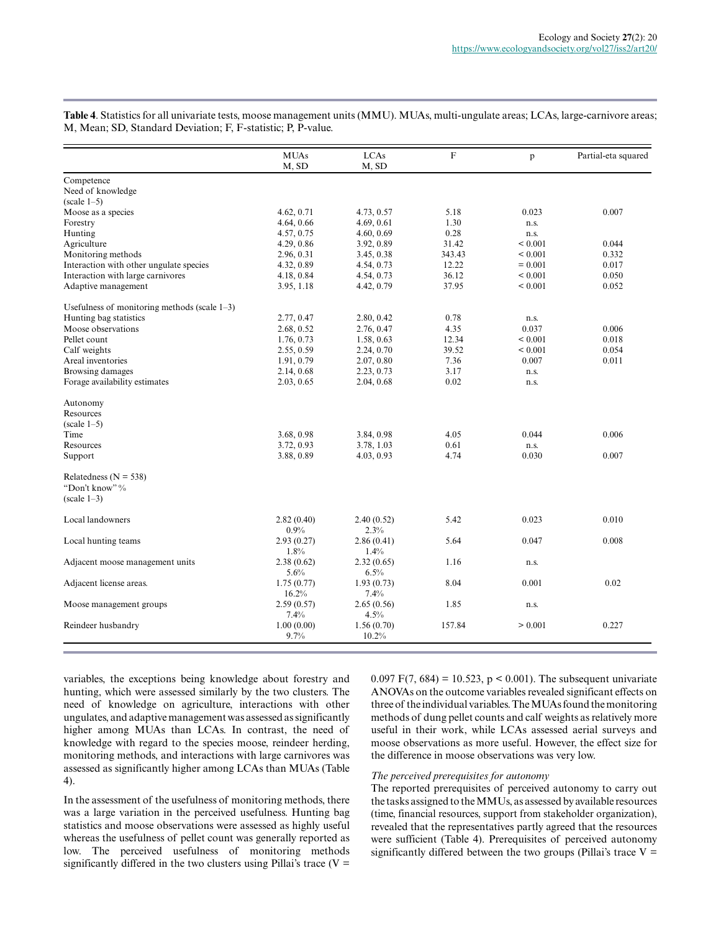**Table 4**. Statistics for all univariate tests, moose management units (MMU). MUAs, multi-ungulate areas; LCAs, large-carnivore areas; M, Mean; SD, Standard Deviation; F, F-statistic; P, P-value.

| Competence<br>Need of knowledge<br>$(scale 1-5)$<br>Moose as a species<br>4.62, 0.71<br>5.18<br>4.73, 0.57<br>0.023<br>4.64, 0.66<br>4.69, 0.61<br>1.30<br>Forestry<br>n.s.<br>4.57, 0.75<br>0.28<br>Hunting<br>4.60, 0.69<br>n.s.<br>Agriculture<br>31.42<br>${}< 0.001$<br>4.29, 0.86<br>3.92, 0.89<br>Monitoring methods<br>343.43<br>2.96, 0.31<br>3.45, 0.38<br>${}_{0.001}$<br>Interaction with other ungulate species<br>4.32, 0.89<br>4.54, 0.73<br>12.22<br>$= 0.001$<br>Interaction with large carnivores<br>4.18, 0.84<br>4.54, 0.73<br>36.12<br>${}_{0.001}$<br>37.95<br>Adaptive management<br>3.95, 1.18<br>4.42, 0.79<br>${}_{0.001}$<br>Usefulness of monitoring methods (scale $1-3$ )<br>Hunting bag statistics<br>2.77, 0.47<br>2.80, 0.42<br>0.78<br>n.s.<br>Moose observations<br>4.35<br>2.68, 0.52<br>2.76, 0.47<br>0.037<br>12.34<br>Pellet count<br>1.76, 0.73<br>1.58, 0.63<br>${}_{0.001}$<br>39.52<br>Calf weights<br>2.55, 0.59<br>2.24, 0.70<br>${}_{0.001}$<br>Areal inventories<br>7.36<br>1.91, 0.79<br>2.07, 0.80<br>0.007<br><b>Browsing damages</b><br>2.14, 0.68<br>2.23, 0.73<br>3.17<br>n.s.<br>Forage availability estimates<br>2.03, 0.65<br>2.04, 0.68<br>0.02<br>n.s.<br>Autonomy<br>Resources<br>$(scale 1-5)$<br>3.68, 0.98<br>3.84, 0.98<br>4.05<br>0.044<br>Time<br>3.72, 0.93<br>3.78, 1.03<br>0.61<br>Resources<br>n.s.<br>Support<br>4.74<br>0.030<br>3.88, 0.89<br>4.03, 0.93<br>Relatedness ( $N = 538$ )<br>"Don't know" % | 0.007 |
|---------------------------------------------------------------------------------------------------------------------------------------------------------------------------------------------------------------------------------------------------------------------------------------------------------------------------------------------------------------------------------------------------------------------------------------------------------------------------------------------------------------------------------------------------------------------------------------------------------------------------------------------------------------------------------------------------------------------------------------------------------------------------------------------------------------------------------------------------------------------------------------------------------------------------------------------------------------------------------------------------------------------------------------------------------------------------------------------------------------------------------------------------------------------------------------------------------------------------------------------------------------------------------------------------------------------------------------------------------------------------------------------------------------------------------------------------------------------------------|-------|
|                                                                                                                                                                                                                                                                                                                                                                                                                                                                                                                                                                                                                                                                                                                                                                                                                                                                                                                                                                                                                                                                                                                                                                                                                                                                                                                                                                                                                                                                                 |       |
|                                                                                                                                                                                                                                                                                                                                                                                                                                                                                                                                                                                                                                                                                                                                                                                                                                                                                                                                                                                                                                                                                                                                                                                                                                                                                                                                                                                                                                                                                 |       |
|                                                                                                                                                                                                                                                                                                                                                                                                                                                                                                                                                                                                                                                                                                                                                                                                                                                                                                                                                                                                                                                                                                                                                                                                                                                                                                                                                                                                                                                                                 |       |
|                                                                                                                                                                                                                                                                                                                                                                                                                                                                                                                                                                                                                                                                                                                                                                                                                                                                                                                                                                                                                                                                                                                                                                                                                                                                                                                                                                                                                                                                                 |       |
|                                                                                                                                                                                                                                                                                                                                                                                                                                                                                                                                                                                                                                                                                                                                                                                                                                                                                                                                                                                                                                                                                                                                                                                                                                                                                                                                                                                                                                                                                 |       |
|                                                                                                                                                                                                                                                                                                                                                                                                                                                                                                                                                                                                                                                                                                                                                                                                                                                                                                                                                                                                                                                                                                                                                                                                                                                                                                                                                                                                                                                                                 |       |
|                                                                                                                                                                                                                                                                                                                                                                                                                                                                                                                                                                                                                                                                                                                                                                                                                                                                                                                                                                                                                                                                                                                                                                                                                                                                                                                                                                                                                                                                                 | 0.044 |
|                                                                                                                                                                                                                                                                                                                                                                                                                                                                                                                                                                                                                                                                                                                                                                                                                                                                                                                                                                                                                                                                                                                                                                                                                                                                                                                                                                                                                                                                                 | 0.332 |
|                                                                                                                                                                                                                                                                                                                                                                                                                                                                                                                                                                                                                                                                                                                                                                                                                                                                                                                                                                                                                                                                                                                                                                                                                                                                                                                                                                                                                                                                                 | 0.017 |
|                                                                                                                                                                                                                                                                                                                                                                                                                                                                                                                                                                                                                                                                                                                                                                                                                                                                                                                                                                                                                                                                                                                                                                                                                                                                                                                                                                                                                                                                                 | 0.050 |
|                                                                                                                                                                                                                                                                                                                                                                                                                                                                                                                                                                                                                                                                                                                                                                                                                                                                                                                                                                                                                                                                                                                                                                                                                                                                                                                                                                                                                                                                                 | 0.052 |
|                                                                                                                                                                                                                                                                                                                                                                                                                                                                                                                                                                                                                                                                                                                                                                                                                                                                                                                                                                                                                                                                                                                                                                                                                                                                                                                                                                                                                                                                                 |       |
|                                                                                                                                                                                                                                                                                                                                                                                                                                                                                                                                                                                                                                                                                                                                                                                                                                                                                                                                                                                                                                                                                                                                                                                                                                                                                                                                                                                                                                                                                 |       |
|                                                                                                                                                                                                                                                                                                                                                                                                                                                                                                                                                                                                                                                                                                                                                                                                                                                                                                                                                                                                                                                                                                                                                                                                                                                                                                                                                                                                                                                                                 | 0.006 |
|                                                                                                                                                                                                                                                                                                                                                                                                                                                                                                                                                                                                                                                                                                                                                                                                                                                                                                                                                                                                                                                                                                                                                                                                                                                                                                                                                                                                                                                                                 | 0.018 |
|                                                                                                                                                                                                                                                                                                                                                                                                                                                                                                                                                                                                                                                                                                                                                                                                                                                                                                                                                                                                                                                                                                                                                                                                                                                                                                                                                                                                                                                                                 | 0.054 |
|                                                                                                                                                                                                                                                                                                                                                                                                                                                                                                                                                                                                                                                                                                                                                                                                                                                                                                                                                                                                                                                                                                                                                                                                                                                                                                                                                                                                                                                                                 | 0.011 |
|                                                                                                                                                                                                                                                                                                                                                                                                                                                                                                                                                                                                                                                                                                                                                                                                                                                                                                                                                                                                                                                                                                                                                                                                                                                                                                                                                                                                                                                                                 |       |
|                                                                                                                                                                                                                                                                                                                                                                                                                                                                                                                                                                                                                                                                                                                                                                                                                                                                                                                                                                                                                                                                                                                                                                                                                                                                                                                                                                                                                                                                                 |       |
|                                                                                                                                                                                                                                                                                                                                                                                                                                                                                                                                                                                                                                                                                                                                                                                                                                                                                                                                                                                                                                                                                                                                                                                                                                                                                                                                                                                                                                                                                 |       |
|                                                                                                                                                                                                                                                                                                                                                                                                                                                                                                                                                                                                                                                                                                                                                                                                                                                                                                                                                                                                                                                                                                                                                                                                                                                                                                                                                                                                                                                                                 |       |
|                                                                                                                                                                                                                                                                                                                                                                                                                                                                                                                                                                                                                                                                                                                                                                                                                                                                                                                                                                                                                                                                                                                                                                                                                                                                                                                                                                                                                                                                                 |       |
|                                                                                                                                                                                                                                                                                                                                                                                                                                                                                                                                                                                                                                                                                                                                                                                                                                                                                                                                                                                                                                                                                                                                                                                                                                                                                                                                                                                                                                                                                 | 0.006 |
|                                                                                                                                                                                                                                                                                                                                                                                                                                                                                                                                                                                                                                                                                                                                                                                                                                                                                                                                                                                                                                                                                                                                                                                                                                                                                                                                                                                                                                                                                 |       |
|                                                                                                                                                                                                                                                                                                                                                                                                                                                                                                                                                                                                                                                                                                                                                                                                                                                                                                                                                                                                                                                                                                                                                                                                                                                                                                                                                                                                                                                                                 | 0.007 |
|                                                                                                                                                                                                                                                                                                                                                                                                                                                                                                                                                                                                                                                                                                                                                                                                                                                                                                                                                                                                                                                                                                                                                                                                                                                                                                                                                                                                                                                                                 |       |
|                                                                                                                                                                                                                                                                                                                                                                                                                                                                                                                                                                                                                                                                                                                                                                                                                                                                                                                                                                                                                                                                                                                                                                                                                                                                                                                                                                                                                                                                                 |       |
| $(scale 1-3)$                                                                                                                                                                                                                                                                                                                                                                                                                                                                                                                                                                                                                                                                                                                                                                                                                                                                                                                                                                                                                                                                                                                                                                                                                                                                                                                                                                                                                                                                   |       |
| 5.42<br>0.023<br>Local landowners<br>2.82(0.40)<br>2.40(0.52)                                                                                                                                                                                                                                                                                                                                                                                                                                                                                                                                                                                                                                                                                                                                                                                                                                                                                                                                                                                                                                                                                                                                                                                                                                                                                                                                                                                                                   | 0.010 |
| 0.9%<br>2.3%                                                                                                                                                                                                                                                                                                                                                                                                                                                                                                                                                                                                                                                                                                                                                                                                                                                                                                                                                                                                                                                                                                                                                                                                                                                                                                                                                                                                                                                                    |       |
| Local hunting teams<br>2.93(0.27)<br>5.64<br>0.047<br>2.86(0.41)                                                                                                                                                                                                                                                                                                                                                                                                                                                                                                                                                                                                                                                                                                                                                                                                                                                                                                                                                                                                                                                                                                                                                                                                                                                                                                                                                                                                                | 0.008 |
| 1.8%<br>1.4%                                                                                                                                                                                                                                                                                                                                                                                                                                                                                                                                                                                                                                                                                                                                                                                                                                                                                                                                                                                                                                                                                                                                                                                                                                                                                                                                                                                                                                                                    |       |
| 1.16<br>Adjacent moose management units<br>2.38(0.62)<br>2.32(0.65)<br>n.s.                                                                                                                                                                                                                                                                                                                                                                                                                                                                                                                                                                                                                                                                                                                                                                                                                                                                                                                                                                                                                                                                                                                                                                                                                                                                                                                                                                                                     |       |
| 5.6%<br>6.5%                                                                                                                                                                                                                                                                                                                                                                                                                                                                                                                                                                                                                                                                                                                                                                                                                                                                                                                                                                                                                                                                                                                                                                                                                                                                                                                                                                                                                                                                    |       |
| Adjacent license areas.<br>8.04<br>0.001<br>1.75(0.77)<br>1.93(0.73)                                                                                                                                                                                                                                                                                                                                                                                                                                                                                                                                                                                                                                                                                                                                                                                                                                                                                                                                                                                                                                                                                                                                                                                                                                                                                                                                                                                                            | 0.02  |
| 16.2%<br>7.4%                                                                                                                                                                                                                                                                                                                                                                                                                                                                                                                                                                                                                                                                                                                                                                                                                                                                                                                                                                                                                                                                                                                                                                                                                                                                                                                                                                                                                                                                   |       |
| Moose management groups<br>2.59(0.57)<br>2.65(0.56)<br>1.85<br>n.s.                                                                                                                                                                                                                                                                                                                                                                                                                                                                                                                                                                                                                                                                                                                                                                                                                                                                                                                                                                                                                                                                                                                                                                                                                                                                                                                                                                                                             |       |
| 7.4%<br>4.5%                                                                                                                                                                                                                                                                                                                                                                                                                                                                                                                                                                                                                                                                                                                                                                                                                                                                                                                                                                                                                                                                                                                                                                                                                                                                                                                                                                                                                                                                    |       |
| 157.84<br>Reindeer husbandry<br>1.00(0.00)<br>1.56(0.70)<br>> 0.001                                                                                                                                                                                                                                                                                                                                                                                                                                                                                                                                                                                                                                                                                                                                                                                                                                                                                                                                                                                                                                                                                                                                                                                                                                                                                                                                                                                                             | 0.227 |
| 9.7%<br>10.2%                                                                                                                                                                                                                                                                                                                                                                                                                                                                                                                                                                                                                                                                                                                                                                                                                                                                                                                                                                                                                                                                                                                                                                                                                                                                                                                                                                                                                                                                   |       |

variables, the exceptions being knowledge about forestry and hunting, which were assessed similarly by the two clusters. The need of knowledge on agriculture, interactions with other ungulates, and adaptive management was assessed as significantly higher among MUAs than LCAs. In contrast, the need of knowledge with regard to the species moose, reindeer herding, monitoring methods, and interactions with large carnivores was assessed as significantly higher among LCAs than MUAs (Table 4).

In the assessment of the usefulness of monitoring methods, there was a large variation in the perceived usefulness. Hunting bag statistics and moose observations were assessed as highly useful whereas the usefulness of pellet count was generally reported as low. The perceived usefulness of monitoring methods significantly differed in the two clusters using Pillai's trace  $(V =$  0.097 F(7, 684) = 10.523,  $p < 0.001$ ). The subsequent univariate ANOVAs on the outcome variables revealed significant effects on three of the individual variables. The MUAs found the monitoring methods of dung pellet counts and calf weights as relatively more useful in their work, while LCAs assessed aerial surveys and moose observations as more useful. However, the effect size for the difference in moose observations was very low.

#### *The perceived prerequisites for autonomy*

The reported prerequisites of perceived autonomy to carry out the tasks assigned to the MMUs, as assessed by available resources (time, financial resources, support from stakeholder organization), revealed that the representatives partly agreed that the resources were sufficient (Table 4). Prerequisites of perceived autonomy significantly differed between the two groups (Pillai's trace  $V =$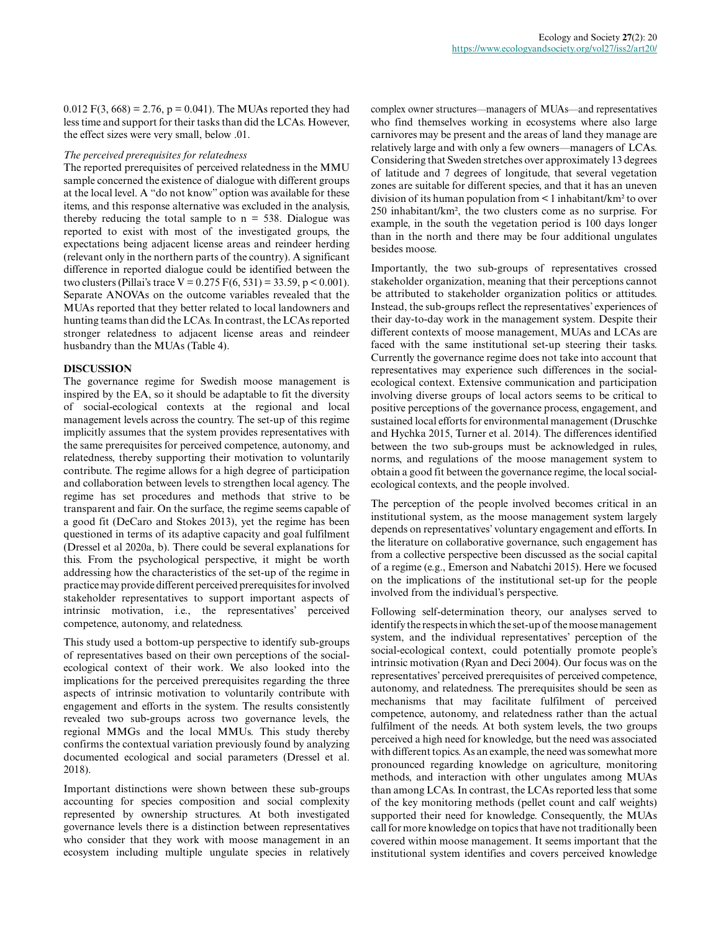$0.012$  F(3, 668) = 2.76, p = 0.041). The MUAs reported they had less time and support for their tasks than did the LCAs. However, the effect sizes were very small, below .01.

#### *The perceived prerequisites for relatedness*

The reported prerequisites of perceived relatedness in the MMU sample concerned the existence of dialogue with different groups at the local level. A "do not know" option was available for these items, and this response alternative was excluded in the analysis, thereby reducing the total sample to  $n = 538$ . Dialogue was reported to exist with most of the investigated groups, the expectations being adjacent license areas and reindeer herding (relevant only in the northern parts of the country). A significant difference in reported dialogue could be identified between the two clusters (Pillai's trace V =  $0.275$  F(6, 531) = 33.59, p < 0.001). Separate ANOVAs on the outcome variables revealed that the MUAs reported that they better related to local landowners and hunting teams than did the LCAs. In contrast, the LCAs reported stronger relatedness to adjacent license areas and reindeer husbandry than the MUAs (Table 4).

#### **DISCUSSION**

The governance regime for Swedish moose management is inspired by the EA, so it should be adaptable to fit the diversity of social-ecological contexts at the regional and local management levels across the country. The set-up of this regime implicitly assumes that the system provides representatives with the same prerequisites for perceived competence, autonomy, and relatedness, thereby supporting their motivation to voluntarily contribute. The regime allows for a high degree of participation and collaboration between levels to strengthen local agency. The regime has set procedures and methods that strive to be transparent and fair. On the surface, the regime seems capable of a good fit (DeCaro and Stokes 2013), yet the regime has been questioned in terms of its adaptive capacity and goal fulfilment (Dressel et al 2020a, b). There could be several explanations for this. From the psychological perspective, it might be worth addressing how the characteristics of the set-up of the regime in practice may provide different perceived prerequisites for involved stakeholder representatives to support important aspects of intrinsic motivation, i.e., the representatives' perceived competence, autonomy, and relatedness.

This study used a bottom-up perspective to identify sub-groups of representatives based on their own perceptions of the socialecological context of their work. We also looked into the implications for the perceived prerequisites regarding the three aspects of intrinsic motivation to voluntarily contribute with engagement and efforts in the system. The results consistently revealed two sub-groups across two governance levels, the regional MMGs and the local MMUs. This study thereby confirms the contextual variation previously found by analyzing documented ecological and social parameters (Dressel et al. 2018).

Important distinctions were shown between these sub-groups accounting for species composition and social complexity represented by ownership structures. At both investigated governance levels there is a distinction between representatives who consider that they work with moose management in an ecosystem including multiple ungulate species in relatively

complex owner structures—managers of MUAs—and representatives who find themselves working in ecosystems where also large carnivores may be present and the areas of land they manage are relatively large and with only a few owners—managers of LCAs. Considering that Sweden stretches over approximately 13 degrees of latitude and 7 degrees of longitude, that several vegetation zones are suitable for different species, and that it has an uneven division of its human population from < 1 inhabitant/km² to over 250 inhabitant/km², the two clusters come as no surprise. For example, in the south the vegetation period is 100 days longer than in the north and there may be four additional ungulates besides moose.

Importantly, the two sub-groups of representatives crossed stakeholder organization, meaning that their perceptions cannot be attributed to stakeholder organization politics or attitudes. Instead, the sub-groups reflect the representatives' experiences of their day-to-day work in the management system. Despite their different contexts of moose management, MUAs and LCAs are faced with the same institutional set-up steering their tasks. Currently the governance regime does not take into account that representatives may experience such differences in the socialecological context. Extensive communication and participation involving diverse groups of local actors seems to be critical to positive perceptions of the governance process, engagement, and sustained local efforts for environmental management (Druschke and Hychka 2015, Turner et al. 2014). The differences identified between the two sub-groups must be acknowledged in rules, norms, and regulations of the moose management system to obtain a good fit between the governance regime, the local socialecological contexts, and the people involved.

The perception of the people involved becomes critical in an institutional system, as the moose management system largely depends on representatives' voluntary engagement and efforts. In the literature on collaborative governance, such engagement has from a collective perspective been discussed as the social capital of a regime (e.g., Emerson and Nabatchi 2015). Here we focused on the implications of the institutional set-up for the people involved from the individual's perspective.

Following self-determination theory, our analyses served to identify the respects in which the set-up of the moose management system, and the individual representatives' perception of the social-ecological context, could potentially promote people's intrinsic motivation (Ryan and Deci 2004). Our focus was on the representatives' perceived prerequisites of perceived competence, autonomy, and relatedness. The prerequisites should be seen as mechanisms that may facilitate fulfilment of perceived competence, autonomy, and relatedness rather than the actual fulfilment of the needs. At both system levels, the two groups perceived a high need for knowledge, but the need was associated with different topics. As an example, the need was somewhat more pronounced regarding knowledge on agriculture, monitoring methods, and interaction with other ungulates among MUAs than among LCAs. In contrast, the LCAs reported less that some of the key monitoring methods (pellet count and calf weights) supported their need for knowledge. Consequently, the MUAs call for more knowledge on topics that have not traditionally been covered within moose management. It seems important that the institutional system identifies and covers perceived knowledge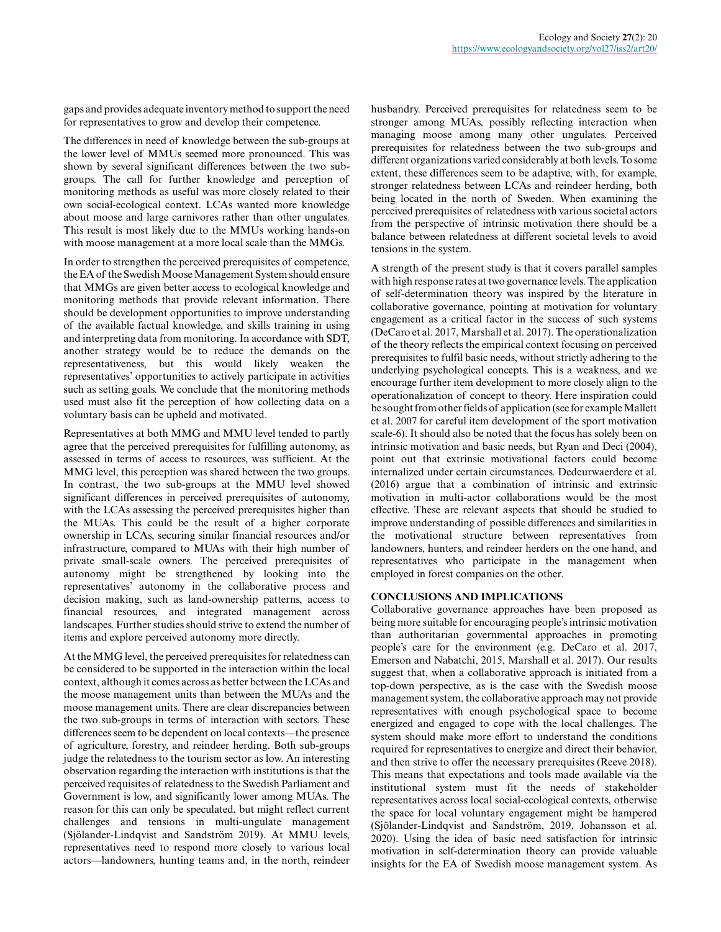gaps and provides adequate inventory method to support the need for representatives to grow and develop their competence.

The differences in need of knowledge between the sub-groups at the lower level of MMUs seemed more pronounced. This was shown by several significant differences between the two subgroups. The call for further knowledge and perception of monitoring methods as useful was more closely related to their own social-ecological context. LCAs wanted more knowledge about moose and large carnivores rather than other ungulates. This result is most likely due to the MMUs working hands-on with moose management at a more local scale than the MMGs.

In order to strengthen the perceived prerequisites of competence, the EA of the Swedish Moose Management System should ensure that MMGs are given better access to ecological knowledge and monitoring methods that provide relevant information. There should be development opportunities to improve understanding of the available factual knowledge, and skills training in using and interpreting data from monitoring. In accordance with SDT, another strategy would be to reduce the demands on the representativeness, but this would likely weaken the representatives' opportunities to actively participate in activities such as setting goals. We conclude that the monitoring methods used must also fit the perception of how collecting data on a voluntary basis can be upheld and motivated.

Representatives at both MMG and MMU level tended to partly agree that the perceived prerequisites for fulfilling autonomy, as assessed in terms of access to resources, was sufficient. At the MMG level, this perception was shared between the two groups. In contrast, the two sub-groups at the MMU level showed significant differences in perceived prerequisites of autonomy, with the LCAs assessing the perceived prerequisites higher than the MUAs. This could be the result of a higher corporate ownership in LCAs, securing similar financial resources and/or infrastructure, compared to MUAs with their high number of private small-scale owners. The perceived prerequisites of autonomy might be strengthened by looking into the representatives' autonomy in the collaborative process and decision making, such as land-ownership patterns, access to financial resources, and integrated management across landscapes. Further studies should strive to extend the number of items and explore perceived autonomy more directly.

At the MMG level, the perceived prerequisites for relatedness can be considered to be supported in the interaction within the local context, although it comes across as better between the LCAs and the moose management units than between the MUAs and the moose management units. There are clear discrepancies between the two sub-groups in terms of interaction with sectors. These differences seem to be dependent on local contexts—the presence of agriculture, forestry, and reindeer herding. Both sub-groups judge the relatedness to the tourism sector as low. An interesting observation regarding the interaction with institutions is that the perceived requisites of relatedness to the Swedish Parliament and Government is low, and significantly lower among MUAs. The reason for this can only be speculated, but might reflect current challenges and tensions in multi-ungulate management (Sjölander-Lindqvist and Sandström 2019). At MMU levels, representatives need to respond more closely to various local actors—landowners, hunting teams and, in the north, reindeer

husbandry. Perceived prerequisites for relatedness seem to be stronger among MUAs, possibly reflecting interaction when managing moose among many other ungulates. Perceived prerequisites for relatedness between the two sub-groups and different organizations varied considerably at both levels. To some extent, these differences seem to be adaptive, with, for example, stronger relatedness between LCAs and reindeer herding, both being located in the north of Sweden. When examining the perceived prerequisites of relatedness with various societal actors from the perspective of intrinsic motivation there should be a balance between relatedness at different societal levels to avoid tensions in the system.

A strength of the present study is that it covers parallel samples with high response rates at two governance levels. The application of self-determination theory was inspired by the literature in collaborative governance, pointing at motivation for voluntary engagement as a critical factor in the success of such systems (DeCaro et al. 2017, Marshall et al. 2017). The operationalization of the theory reflects the empirical context focusing on perceived prerequisites to fulfil basic needs, without strictly adhering to the underlying psychological concepts. This is a weakness, and we encourage further item development to more closely align to the operationalization of concept to theory. Here inspiration could be sought from other fields of application (see for example Mallett et al. 2007 for careful item development of the sport motivation scale-6). It should also be noted that the focus has solely been on intrinsic motivation and basic needs, but Ryan and Deci (2004), point out that extrinsic motivational factors could become internalized under certain circumstances. Dedeurwaerdere et al. (2016) argue that a combination of intrinsic and extrinsic motivation in multi-actor collaborations would be the most effective. These are relevant aspects that should be studied to improve understanding of possible differences and similarities in the motivational structure between representatives from landowners, hunters, and reindeer herders on the one hand, and representatives who participate in the management when employed in forest companies on the other.

#### **CONCLUSIONS AND IMPLICATIONS**

Collaborative governance approaches have been proposed as being more suitable for encouraging people's intrinsic motivation than authoritarian governmental approaches in promoting people's care for the environment (e.g. DeCaro et al. 2017, Emerson and Nabatchi, 2015, Marshall et al. 2017). Our results suggest that, when a collaborative approach is initiated from a top-down perspective, as is the case with the Swedish moose management system, the collaborative approach may not provide representatives with enough psychological space to become energized and engaged to cope with the local challenges. The system should make more effort to understand the conditions required for representatives to energize and direct their behavior, and then strive to offer the necessary prerequisites (Reeve 2018). This means that expectations and tools made available via the institutional system must fit the needs of stakeholder representatives across local social-ecological contexts, otherwise the space for local voluntary engagement might be hampered (Sjölander-Lindqvist and Sandström, 2019, Johansson et al. 2020). Using the idea of basic need satisfaction for intrinsic motivation in self-determination theory can provide valuable insights for the EA of Swedish moose management system. As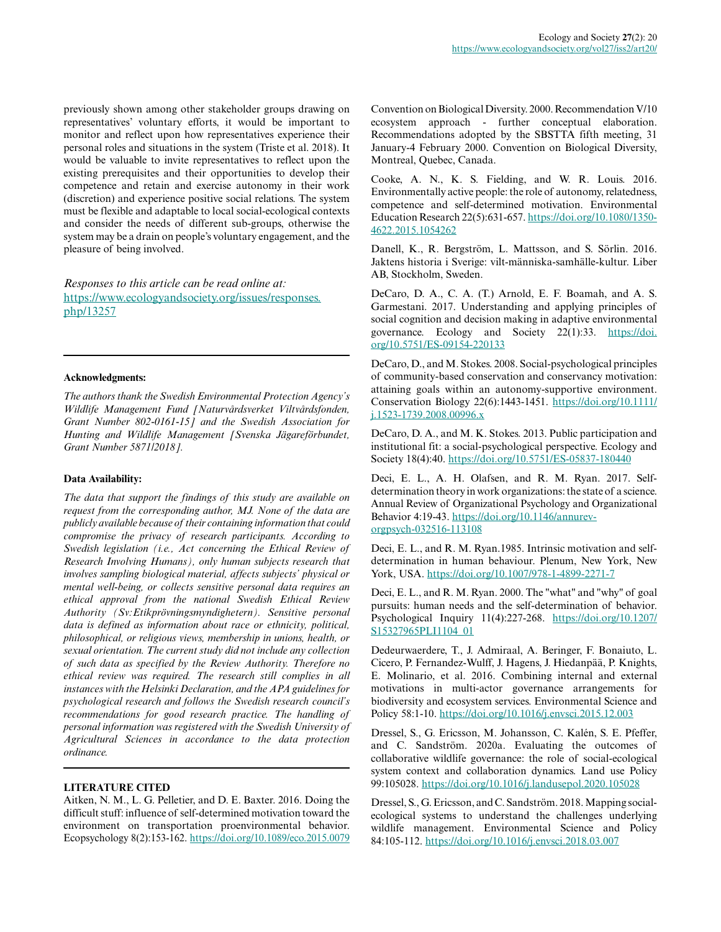previously shown among other stakeholder groups drawing on representatives' voluntary efforts, it would be important to monitor and reflect upon how representatives experience their personal roles and situations in the system (Triste et al. 2018). It would be valuable to invite representatives to reflect upon the existing prerequisites and their opportunities to develop their competence and retain and exercise autonomy in their work (discretion) and experience positive social relations. The system must be flexible and adaptable to local social-ecological contexts and consider the needs of different sub-groups, otherwise the system may be a drain on people's voluntary engagement, and the pleasure of being involved.

*Responses to this article can be read online at:* [https://www.ecologyandsociety.org/issues/responses.](https://www.ecologyandsociety.org/issues/responses.php/13257) [php/13257](https://www.ecologyandsociety.org/issues/responses.php/13257)

#### **Acknowledgments:**

*The authors thank the Swedish Environmental Protection Agency's Wildlife Management Fund [Naturvårdsverket Viltvårdsfonden, Grant Number 802-0161-15] and the Swedish Association for Hunting and Wildlife Management [Svenska Jägareförbundet, Grant Number 5871/2018].*

#### **Data Availability:**

*The data that support the findings of this study are available on request from the corresponding author, MJ. None of the data are publicly available because of their containing information that could compromise the privacy of research participants. According to Swedish legislation (i.e., Act concerning the Ethical Review of Research Involving Humans), only human subjects research that involves sampling biological material, affects subjects' physical or mental well-being, or collects sensitive personal data requires an ethical approval from the national Swedish Ethical Review Authority (Sv:Etikprövningsmyndighetern). Sensitive personal data is defined as information about race or ethnicity, political, philosophical, or religious views, membership in unions, health, or sexual orientation. The current study did not include any collection of such data as specified by the Review Authority. Therefore no ethical review was required. The research still complies in all instances with the Helsinki Declaration, and the APA guidelines for psychological research and follows the Swedish research council's recommendations for good research practice. The handling of personal information was registered with the Swedish University of Agricultural Sciences in accordance to the data protection ordinance.*

#### **LITERATURE CITED**

Aitken, N. M., L. G. Pelletier, and D. E. Baxter. 2016. Doing the difficult stuff: influence of self-determined motivation toward the environment on transportation proenvironmental behavior. Ecopsychology 8(2):153-162.<https://doi.org/10.1089/eco.2015.0079> Convention on Biological Diversity. 2000. Recommendation V/10 ecosystem approach - further conceptual elaboration. Recommendations adopted by the SBSTTA fifth meeting, 31 January-4 February 2000. Convention on Biological Diversity, Montreal, Quebec, Canada.

Cooke, A. N., K. S. Fielding, and W. R. Louis. 2016. Environmentally active people: the role of autonomy, relatedness, competence and self-determined motivation. Environmental Education Research 22(5):631-657. [https://doi.org/10.1080/1350](https://doi.org/10.1080/13504622.2015.1054262) [4622.2015.1054262](https://doi.org/10.1080/13504622.2015.1054262)

Danell, K., R. Bergström, L. Mattsson, and S. Sörlin. 2016. Jaktens historia i Sverige: vilt-människa-samhälle-kultur. Liber AB, Stockholm, Sweden.

DeCaro, D. A., C. A. (T.) Arnold, E. F. Boamah, and A. S. Garmestani. 2017. Understanding and applying principles of social cognition and decision making in adaptive environmental governance. Ecology and Society 22(1):33. [https://doi.](https://doi.org/10.5751/ES-09154-220133) [org/10.5751/ES-09154-220133](https://doi.org/10.5751/ES-09154-220133) 

DeCaro, D., and M. Stokes. 2008. Social-psychological principles of community-based conservation and conservancy motivation: attaining goals within an autonomy-supportive environment. Conservation Biology 22(6):1443-1451. [https://doi.org/10.1111/](https://doi.org/10.1111/j.1523-1739.2008.00996.x)  $i.1523 - 1739.2008.00996.x$ 

DeCaro, D. A., and M. K. Stokes. 2013. Public participation and institutional fit: a social-psychological perspective. Ecology and Society 18(4):40. <https://doi.org/10.5751/ES-05837-180440>

Deci, E. L., A. H. Olafsen, and R. M. Ryan. 2017. Selfdetermination theory in work organizations: the state of a science. Annual Review of Organizational Psychology and Organizational Behavior 4:19-43. [https://doi.org/10.1146/annurev](https://doi.org/10.1146/annurev-orgpsych-032516-113108)[orgpsych-032516-113108](https://doi.org/10.1146/annurev-orgpsych-032516-113108)

Deci, E. L., and R. M. Ryan.1985. Intrinsic motivation and selfdetermination in human behaviour. Plenum, New York, New York, USA. <https://doi.org/10.1007/978-1-4899-2271-7>

Deci, E. L., and R. M. Ryan. 2000. The "what" and "why" of goal pursuits: human needs and the self-determination of behavior. Psychological Inquiry 11(4):227-268. [https://doi.org/10.1207/](https://doi.org/10.1207/S15327965PLI1104_01) [S15327965PLI1104\\_01](https://doi.org/10.1207/S15327965PLI1104_01)

Dedeurwaerdere, T., J. Admiraal, A. Beringer, F. Bonaiuto, L. Cicero, P. Fernandez-Wulff, J. Hagens, J. Hiedanpää, P. Knights, E. Molinario, et al. 2016. Combining internal and external motivations in multi-actor governance arrangements for biodiversity and ecosystem services. Environmental Science and Policy 58:1-10.<https://doi.org/10.1016/j.envsci.2015.12.003>

Dressel, S., G. Ericsson, M. Johansson, C. Kalén, S. E. Pfeffer, and C. Sandström. 2020a. Evaluating the outcomes of collaborative wildlife governance: the role of social-ecological system context and collaboration dynamics. Land use Policy 99:105028.<https://doi.org/10.1016/j.landusepol.2020.105028>

Dressel, S., G. Ericsson, and C. Sandström. 2018. Mapping socialecological systems to understand the challenges underlying wildlife management. Environmental Science and Policy 84:105-112.<https://doi.org/10.1016/j.envsci.2018.03.007>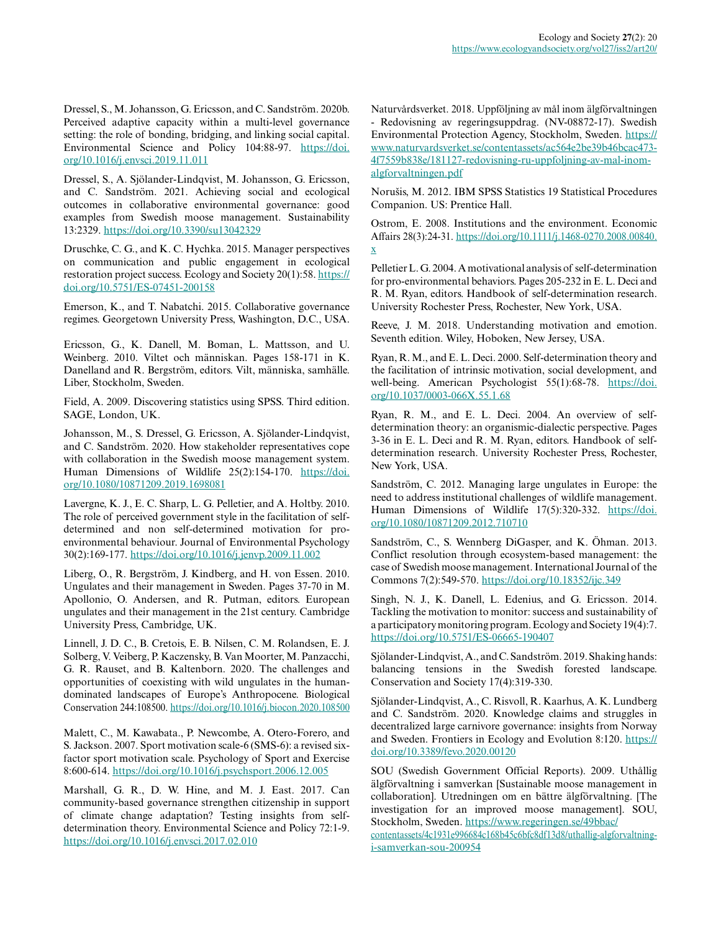Dressel, S., M. Johansson, G. Ericsson, and C. Sandström. 2020b. Perceived adaptive capacity within a multi-level governance setting: the role of bonding, bridging, and linking social capital. Environmental Science and Policy 104:88-97. [https://doi.](https://doi.org/10.1016/j.envsci.2019.11.011) [org/10.1016/j.envsci.2019.11.011](https://doi.org/10.1016/j.envsci.2019.11.011) 

Dressel, S., A. Sjölander-Lindqvist, M. Johansson, G. Ericsson, and C. Sandström. 2021. Achieving social and ecological outcomes in collaborative environmental governance: good examples from Swedish moose management. Sustainability 13:2329.<https://doi.org/10.3390/su13042329>

Druschke, C. G., and K. C. Hychka. 2015. Manager perspectives on communication and public engagement in ecological restoration project success. Ecology and Society 20(1):58. [https://](https://doi.org/10.5751/ES-07451-200158) [doi.org/10.5751/ES-07451-200158](https://doi.org/10.5751/ES-07451-200158)

Emerson, K., and T. Nabatchi. 2015. Collaborative governance regimes. Georgetown University Press, Washington, D.C., USA.

Ericsson, G., K. Danell, M. Boman, L. Mattsson, and U. Weinberg. 2010. Viltet och människan. Pages 158-171 in K. Danelland and R. Bergström, editors. Vilt, människa, samhälle. Liber, Stockholm, Sweden.

Field, A. 2009. Discovering statistics using SPSS. Third edition. SAGE, London, UK.

Johansson, M., S. Dressel, G. Ericsson, A. Sjölander-Lindqvist, and C. Sandström. 2020. How stakeholder representatives cope with collaboration in the Swedish moose management system. Human Dimensions of Wildlife 25(2):154-170. [https://doi.](https://doi.org/10.1080/10871209.2019.1698081) [org/10.1080/10871209.2019.1698081](https://doi.org/10.1080/10871209.2019.1698081) 

Lavergne, K. J., E. C. Sharp, L. G. Pelletier, and A. Holtby. 2010. The role of perceived government style in the facilitation of selfdetermined and non self-determined motivation for proenvironmental behaviour. Journal of Environmental Psychology 30(2):169-177. <https://doi.org/10.1016/j.jenvp.2009.11.002>

Liberg, O., R. Bergström, J. Kindberg, and H. von Essen. 2010. Ungulates and their management in Sweden. Pages 37-70 in M. Apollonio, O. Andersen, and R. Putman, editors. European ungulates and their management in the 21st century. Cambridge University Press, Cambridge, UK.

Linnell, J. D. C., B. Cretois, E. B. Nilsen, C. M. Rolandsen, E. J. Solberg, V. Veiberg, P. Kaczensky, B. Van Moorter, M. Panzacchi, G. R. Rauset, and B. Kaltenborn. 2020. The challenges and opportunities of coexisting with wild ungulates in the humandominated landscapes of Europe's Anthropocene. Biological Conservation 244:108500. <https://doi.org/10.1016/j.biocon.2020.108500>

Malett, C., M. Kawabata., P. Newcombe, A. Otero-Forero, and S. Jackson. 2007. Sport motivation scale-6 (SMS-6): a revised sixfactor sport motivation scale. Psychology of Sport and Exercise 8:600-614. <https://doi.org/10.1016/j.psychsport.2006.12.005>

Marshall, G. R., D. W. Hine, and M. J. East. 2017. Can community-based governance strengthen citizenship in support of climate change adaptation? Testing insights from selfdetermination theory. Environmental Science and Policy 72:1-9. <https://doi.org/10.1016/j.envsci.2017.02.010>

Naturvårdsverket. 2018. Uppföljning av mål inom älgförvaltningen - Redovisning av regeringsuppdrag. (NV-08872-17). Swedish Environmental Protection Agency, Stockholm, Sweden. [https://](https://www.naturvardsverket.se/contentassets/ac564e2be39b46bcac4734f7559b838e/181127-redovisning-ru-uppfoljning-av-mal-inom-algforvaltningen.pdf) [www.naturvardsverket.se/contentassets/ac564e2be39b46bcac473](https://www.naturvardsverket.se/contentassets/ac564e2be39b46bcac4734f7559b838e/181127-redovisning-ru-uppfoljning-av-mal-inom-algforvaltningen.pdf) [4f7559b838e/181127-redovisning-ru-uppfoljning-av-mal-inom](https://www.naturvardsverket.se/contentassets/ac564e2be39b46bcac4734f7559b838e/181127-redovisning-ru-uppfoljning-av-mal-inom-algforvaltningen.pdf)[algforvaltningen.pdf](https://www.naturvardsverket.se/contentassets/ac564e2be39b46bcac4734f7559b838e/181127-redovisning-ru-uppfoljning-av-mal-inom-algforvaltningen.pdf)

Norušis, M. 2012. IBM SPSS Statistics 19 Statistical Procedures Companion. US: Prentice Hall.

Ostrom, E. 2008. Institutions and the environment. Economic Affairs 28(3):24-31. [https://doi.org/10.1111/j.1468-0270.2008.00840.](https://doi.org/10.1111/j.1468-0270.2008.00840.x) [x](https://doi.org/10.1111/j.1468-0270.2008.00840.x) 

Pelletier L. G. 2004. A motivational analysis of self-determination for pro-environmental behaviors. Pages 205-232 in E. L. Deci and R. M. Ryan, editors. Handbook of self-determination research. University Rochester Press, Rochester, New York, USA.

Reeve, J. M. 2018. Understanding motivation and emotion. Seventh edition. Wiley, Hoboken, New Jersey, USA.

Ryan, R. M., and E. L. Deci. 2000. Self-determination theory and the facilitation of intrinsic motivation, social development, and well-being. American Psychologist 55(1):68-78. [https://doi.](https://doi.org/10.1037/0003-066X.55.1.68) [org/10.1037/0003-066X.55.1.68](https://doi.org/10.1037/0003-066X.55.1.68)

Ryan, R. M., and E. L. Deci. 2004. An overview of selfdetermination theory: an organismic-dialectic perspective. Pages 3-36 in E. L. Deci and R. M. Ryan, editors. Handbook of selfdetermination research. University Rochester Press, Rochester, New York, USA.

Sandström, C. 2012. Managing large ungulates in Europe: the need to address institutional challenges of wildlife management. Human Dimensions of Wildlife 17(5):320-332. [https://doi.](https://doi.org/10.1080/10871209.2012.710710) [org/10.1080/10871209.2012.710710](https://doi.org/10.1080/10871209.2012.710710)

Sandström, C., S. Wennberg DiGasper, and K. Öhman. 2013. Conflict resolution through ecosystem-based management: the case of Swedish moose management. International Journal of the Commons 7(2):549-570.<https://doi.org/10.18352/ijc.349>

Singh, N. J., K. Danell, L. Edenius, and G. Ericsson. 2014. Tackling the motivation to monitor: success and sustainability of a participatory monitoring program. Ecology and Society 19(4):7. <https://doi.org/10.5751/ES-06665-190407>

Sjölander-Lindqvist, A., and C. Sandström. 2019. Shaking hands: balancing tensions in the Swedish forested landscape. Conservation and Society 17(4):319-330.

Sjölander-Lindqvist, A., C. Risvoll, R. Kaarhus, A. K. Lundberg and C. Sandström. 2020. Knowledge claims and struggles in decentralized large carnivore governance: insights from Norway and Sweden. Frontiers in Ecology and Evolution 8:120. [https://](https://doi.org/10.3389/fevo.2020.00120) [doi.org/10.3389/fevo.2020.00120](https://doi.org/10.3389/fevo.2020.00120) 

SOU (Swedish Government Official Reports). 2009. Uthållig älgförvaltning i samverkan [Sustainable moose management in collaboration]. Utredningen om en bättre älgförvaltning. [The investigation for an improved moose management]. SOU, Stockholm, Sweden. [https://www.regeringen.se/49bbac/](https://www.regeringen.se/49bbac/contentassets/4c1931e996684c168b45c6bfc8df13d8/uthallig-algforvaltning-i-samverkan-sou-200954)

[contentassets/4c1931e996684c168b45c6bfc8df13d8/uthallig-algforvaltning](https://www.regeringen.se/49bbac/contentassets/4c1931e996684c168b45c6bfc8df13d8/uthallig-algforvaltning-i-samverkan-sou-200954)[i-samverkan-sou-200954](https://www.regeringen.se/49bbac/contentassets/4c1931e996684c168b45c6bfc8df13d8/uthallig-algforvaltning-i-samverkan-sou-200954)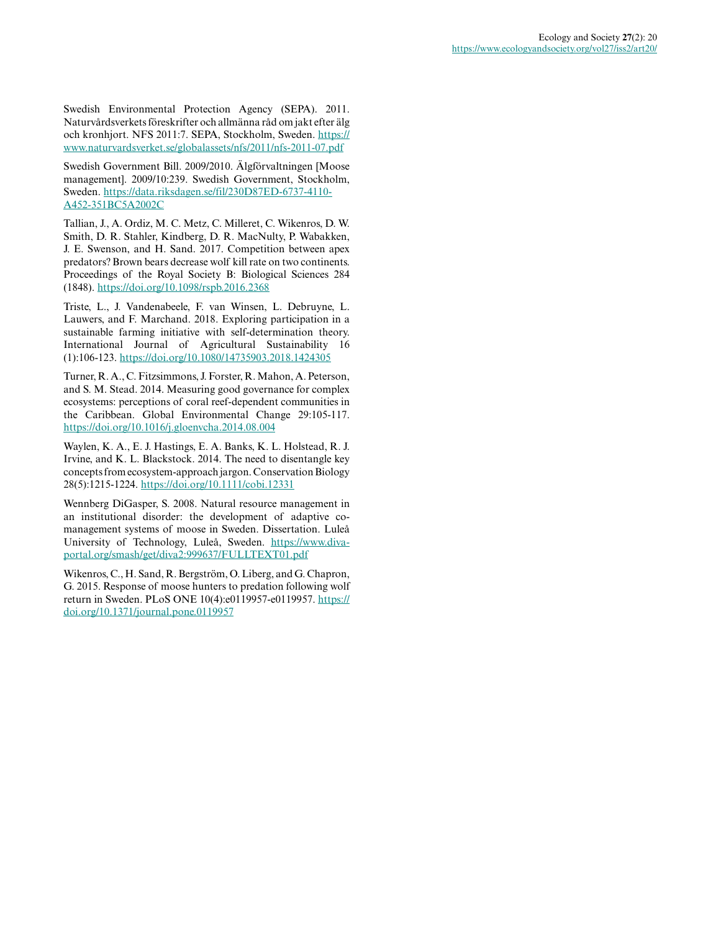Swedish Environmental Protection Agency (SEPA). 2011. Naturvårdsverkets föreskrifter och allmänna råd om jakt efter älg och kronhjort. NFS 2011:7. SEPA, Stockholm, Sweden. [https://](https://www.naturvardsverket.se/globalassets/nfs/2011/nfs-2011-07.pdf) [www.naturvardsverket.se/globalassets/nfs/2011/nfs-2011-07.pdf](https://www.naturvardsverket.se/globalassets/nfs/2011/nfs-2011-07.pdf)

Swedish Government Bill. 2009/2010. Älgförvaltningen [Moose management]. 2009/10:239. Swedish Government, Stockholm, Sweden. [https://data.riksdagen.se/fil/230D87ED-6737-4110-](https://data.riksdagen.se/fil/230D87ED-6737-4110-A452-351BC5A2002C) [A452-351BC5A2002C](https://data.riksdagen.se/fil/230D87ED-6737-4110-A452-351BC5A2002C)

Tallian, J., A. Ordiz, M. C. Metz, C. Milleret, C. Wikenros, D. W. Smith, D. R. Stahler, Kindberg, D. R. MacNulty, P. Wabakken, J. E. Swenson, and H. Sand. 2017. Competition between apex predators? Brown bears decrease wolf kill rate on two continents. Proceedings of the Royal Society B: Biological Sciences 284 (1848). <https://doi.org/10.1098/rspb.2016.2368>

Triste, L., J. Vandenabeele, F. van Winsen, L. Debruyne, L. Lauwers, and F. Marchand. 2018. Exploring participation in a sustainable farming initiative with self-determination theory. International Journal of Agricultural Sustainability 16 (1):106-123. <https://doi.org/10.1080/14735903.2018.1424305>

Turner, R. A., C. Fitzsimmons, J. Forster, R. Mahon, A. Peterson, and S. M. Stead. 2014. Measuring good governance for complex ecosystems: perceptions of coral reef-dependent communities in the Caribbean. Global Environmental Change 29:105-117. <https://doi.org/10.1016/j.gloenvcha.2014.08.004>

Waylen, K. A., E. J. Hastings, E. A. Banks, K. L. Holstead, R. J. Irvine, and K. L. Blackstock. 2014. The need to disentangle key concepts from ecosystem-approach jargon. Conservation Biology 28(5):1215-1224. <https://doi.org/10.1111/cobi.12331>

Wennberg DiGasper, S. 2008. Natural resource management in an institutional disorder: the development of adaptive comanagement systems of moose in Sweden. Dissertation. Luleå University of Technology, Luleå, Sweden. [https://www.diva](https://www.diva-portal.org/smash/get/diva2:999637/FULLTEXT01.pdf)[portal.org/smash/get/diva2:999637/FULLTEXT01.pdf](https://www.diva-portal.org/smash/get/diva2:999637/FULLTEXT01.pdf)

Wikenros, C., H. Sand, R. Bergström, O. Liberg, and G. Chapron, G. 2015. Response of moose hunters to predation following wolf return in Sweden. PLoS ONE 10(4):e0119957-e0119957. [https://](https://doi.org/10.1371/journal.pone.0119957) [doi.org/10.1371/journal.pone.0119957](https://doi.org/10.1371/journal.pone.0119957)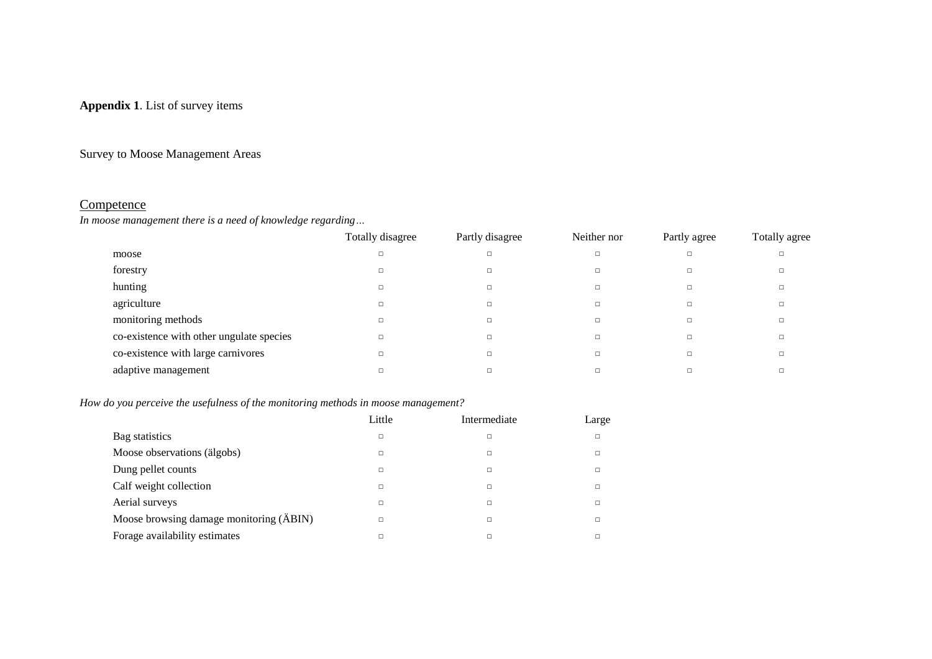### **Appendix 1**. List of survey items

### Survey to Moose Management Areas

### **Competence**

*In moose management there is a need of knowledge regarding…*

|                                          | Totally disagree | Partly disagree | Neither nor | Partly agree | Totally agree |
|------------------------------------------|------------------|-----------------|-------------|--------------|---------------|
| moose                                    | п                | $\Box$          | п           | $\Box$       |               |
| forestry                                 |                  |                 |             |              |               |
| hunting                                  |                  |                 |             |              |               |
| agriculture                              |                  | $\Box$          |             |              |               |
| monitoring methods                       |                  | $\Box$          |             | $\Box$       |               |
| co-existence with other ungulate species |                  | $\Box$          | п           | $\Box$       |               |
| co-existence with large carnivores       |                  |                 |             |              |               |
| adaptive management                      |                  |                 |             |              |               |

### *How do you perceive the usefulness of the monitoring methods in moose management?*

|                                         | Little | Intermediate | Large  |
|-----------------------------------------|--------|--------------|--------|
| Bag statistics                          | $\Box$ | п            | $\Box$ |
| Moose observations (älgobs)             | □      | ◻            |        |
| Dung pellet counts                      | □      | ⊔            |        |
| Calf weight collection                  | □      |              | П      |
| Aerial surveys                          | □      |              |        |
| Moose browsing damage monitoring (ÄBIN) | □      | ◻            |        |
| Forage availability estimates           | □      |              |        |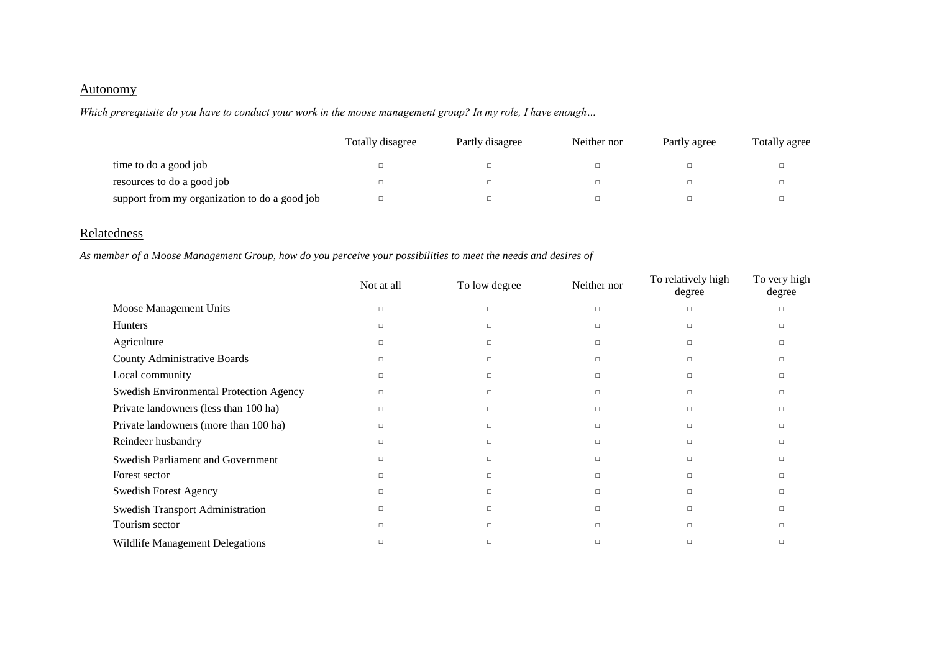### **Autonomy**

*Which prerequisite do you have to conduct your work in the moose management group? In my role, I have enough…*

|                                               | Totally disagree | Partly disagree | Neither nor | Partly agree | Totally agree |
|-----------------------------------------------|------------------|-----------------|-------------|--------------|---------------|
| time to do a good job                         |                  |                 | ▫           |              | $\Box$        |
| resources to do a good job                    |                  |                 | □           |              | $\Box$        |
| support from my organization to do a good job |                  |                 | □           |              | 0             |

# **Relatedness**

*As member of a Moose Management Group, how do you perceive your possibilities to meet the needs and desires of*

|                                         | Not at all | To low degree | Neither nor | To relatively high<br>degree | To very high<br>degree |
|-----------------------------------------|------------|---------------|-------------|------------------------------|------------------------|
| Moose Management Units                  | $\Box$     | $\Box$        | □           | $\Box$                       | п                      |
| <b>Hunters</b>                          | $\Box$     | $\Box$        | □           | $\Box$                       | □                      |
| Agriculture                             | $\Box$     | $\Box$        | □           | $\Box$                       | □                      |
| County Administrative Boards            | $\Box$     | $\Box$        | □           | $\Box$                       | □                      |
| Local community                         | $\Box$     | $\Box$        | □           | $\Box$                       | п                      |
| Swedish Environmental Protection Agency | $\Box$     | $\Box$        | □           | $\Box$                       | п                      |
| Private landowners (less than 100 ha)   | $\Box$     | п             | □           | $\Box$                       | п                      |
| Private landowners (more than 100 ha)   | □          | $\Box$        | □           | $\Box$                       | п                      |
| Reindeer husbandry                      | $\Box$     | $\Box$        | □           | $\Box$                       | □                      |
| Swedish Parliament and Government       | □          | $\Box$        | □           | $\Box$                       | п                      |
| Forest sector                           | $\Box$     | $\Box$        | $\Box$      | $\Box$                       | п                      |
| <b>Swedish Forest Agency</b>            | $\Box$     | п             | □           | $\Box$                       | п                      |
| <b>Swedish Transport Administration</b> | $\Box$     | $\Box$        | □           | $\Box$                       | □                      |
| Tourism sector                          | п          | п             | □           | $\Box$                       | п                      |
| Wildlife Management Delegations         | п          | п             | □           | $\Box$                       | □                      |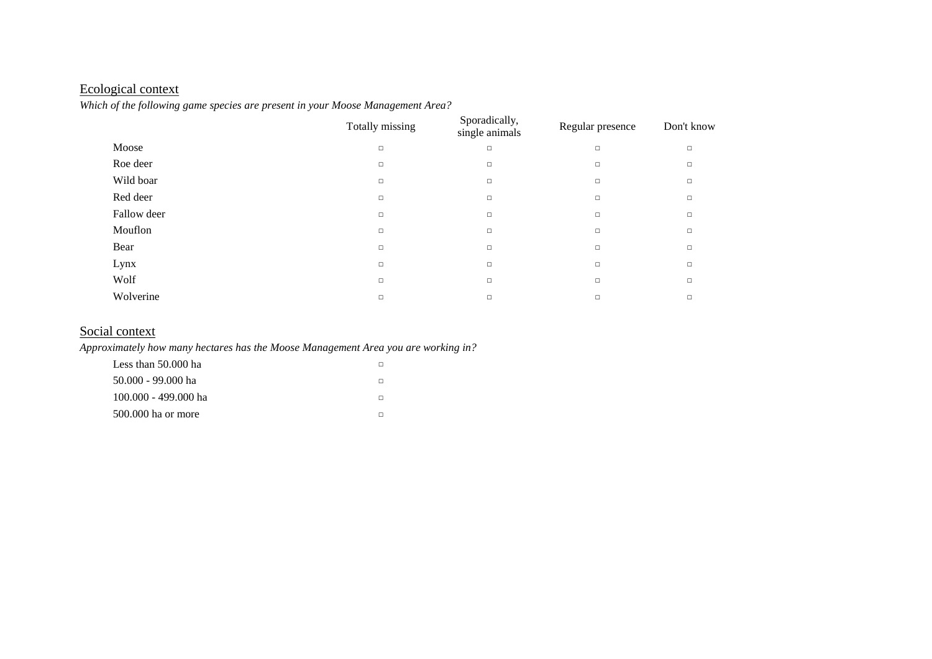# Ecological context

*Which of the following game species are present in your Moose Management Area?*

|             | Totally missing | Sporadically,<br>single animals | Regular presence | Don't know |
|-------------|-----------------|---------------------------------|------------------|------------|
| Moose       | $\Box$          | $\Box$                          | $\Box$           | $\Box$     |
| Roe deer    | $\Box$          | $\Box$                          | $\Box$           | $\Box$     |
| Wild boar   | $\Box$          | $\Box$                          | $\Box$           | $\Box$     |
| Red deer    | $\Box$          | $\Box$                          | $\Box$           | $\Box$     |
| Fallow deer | $\Box$          | $\Box$                          | $\Box$           | $\Box$     |
| Mouflon     | $\Box$          | $\Box$                          | $\Box$           | $\Box$     |
| Bear        | $\Box$          | $\Box$                          | $\Box$           | $\Box$     |
| Lynx        | $\Box$          | $\Box$                          | $\Box$           | $\Box$     |
| Wolf        | $\Box$          | $\Box$                          | $\Box$           | $\Box$     |
| Wolverine   | $\Box$          | $\Box$                          | $\Box$           | $\Box$     |

### Social context

*Approximately how many hectares has the Moose Management Area you are working in?*

| Less than $50.000$ ha  |  |
|------------------------|--|
| 50.000 - 99.000 ha     |  |
| $100.000 - 499.000$ ha |  |
| 500,000 ha or more     |  |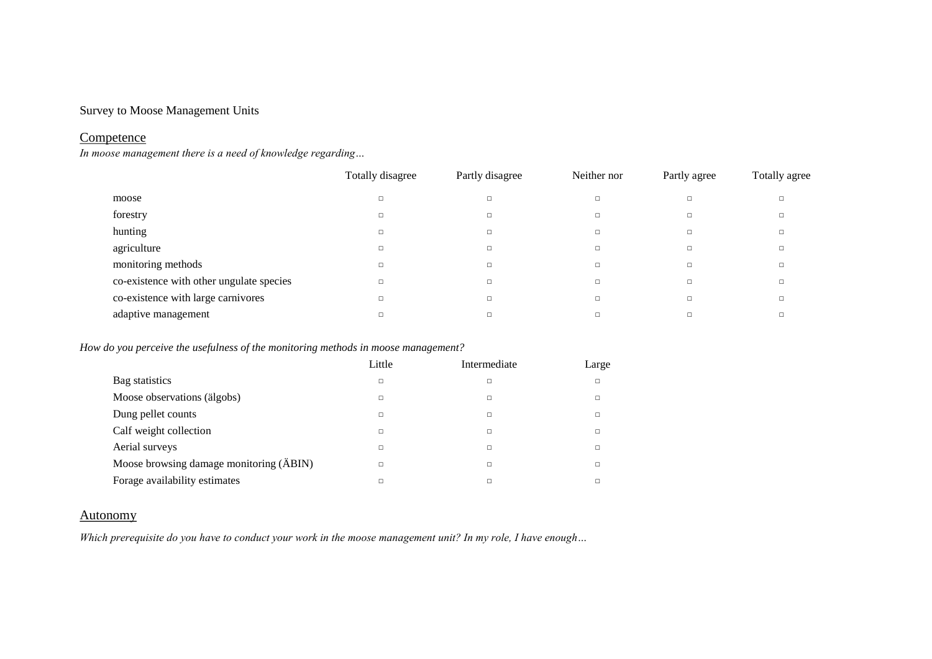### Survey to Moose Management Units

### **Competence**

*In moose management there is a need of knowledge regarding…*

|                                          | Totally disagree | Partly disagree | Neither nor | Partly agree | Totally agree |
|------------------------------------------|------------------|-----------------|-------------|--------------|---------------|
| moose                                    | $\Box$           | $\Box$          | ◻           |              |               |
| forestry                                 | $\Box$           | $\Box$          | ◻           |              |               |
| hunting                                  | $\Box$           | $\Box$          | ◻           | $\Box$       |               |
| agriculture                              | $\Box$           | $\Box$          | ◻           | $\Box$       |               |
| monitoring methods                       | $\Box$           | $\Box$          | □           | $\Box$       |               |
| co-existence with other ungulate species | $\Box$           | $\Box$          | □           | $\Box$       |               |
| co-existence with large carnivores       | $\Box$           | $\Box$          | □           | $\Box$       |               |
| adaptive management                      |                  | Е               |             |              |               |

*How do you perceive the usefulness of the monitoring methods in moose management?*

|                                         | Little | Intermediate | Large |
|-----------------------------------------|--------|--------------|-------|
| Bag statistics                          | □      | □            | □     |
| Moose observations (älgobs)             | □      | $\Box$       | п     |
| Dung pellet counts                      | □      | □            | □     |
| Calf weight collection                  | □      | □            |       |
| Aerial surveys                          | □      | □            | □     |
| Moose browsing damage monitoring (ÄBIN) | □      | $\Box$       | п     |
| Forage availability estimates           |        | □            |       |

### Autonomy

*Which prerequisite do you have to conduct your work in the moose management unit? In my role, I have enough…*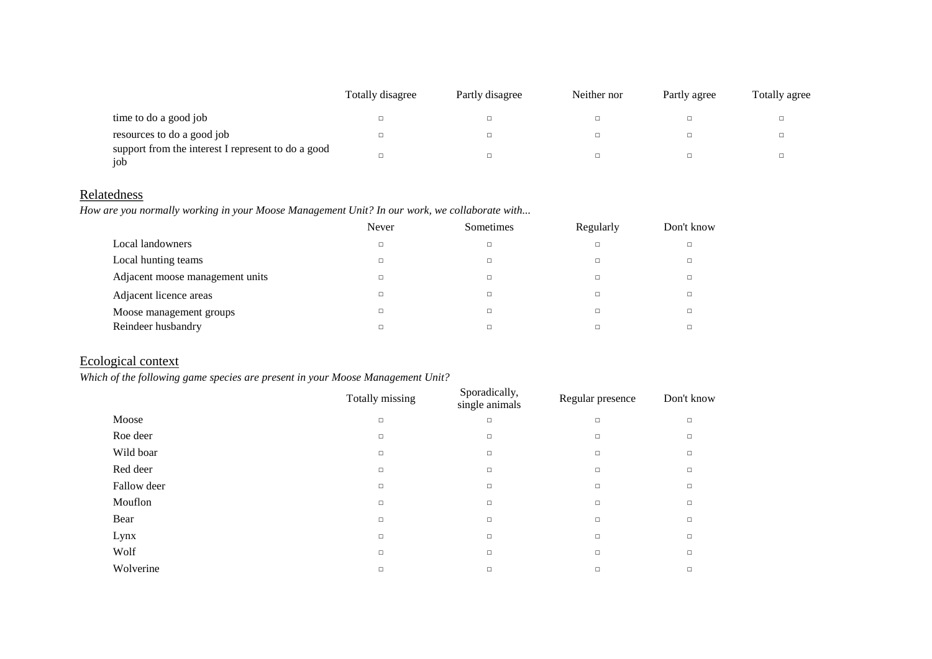|                                                           | Totally disagree | Partly disagree | Neither nor | Partly agree | Totally agree |
|-----------------------------------------------------------|------------------|-----------------|-------------|--------------|---------------|
| time to do a good job                                     |                  | □               |             |              |               |
| resources to do a good job                                |                  |                 |             |              |               |
| support from the interest I represent to do a good<br>iob |                  |                 |             |              |               |

# **Relatedness**

*How are you normally working in your Moose Management Unit? In our work, we collaborate with...*

|                                 | Never | Sometimes | Regularly | Don't know |
|---------------------------------|-------|-----------|-----------|------------|
| Local landowners                |       | □         | $\Box$    |            |
| Local hunting teams             |       | $\Box$    | $\Box$    |            |
| Adjacent moose management units |       | □         | $\Box$    |            |
| Adjacent licence areas          |       | $\Box$    | $\Box$    |            |
| Moose management groups         |       | □         | $\Box$    |            |
| Reindeer husbandry              |       | □         |           |            |

# Ecological context

### *Which of the following game species are present in your Moose Management Unit?*

|             | Totally missing | Sporadically,<br>single animals | Regular presence | Don't know |
|-------------|-----------------|---------------------------------|------------------|------------|
| Moose       | $\Box$          | $\Box$                          | $\Box$           | $\Box$     |
| Roe deer    | $\Box$          | $\Box$                          | $\Box$           | $\Box$     |
| Wild boar   | $\Box$          | $\Box$                          | $\Box$           | $\Box$     |
| Red deer    | $\Box$          | $\Box$                          | $\Box$           | $\Box$     |
| Fallow deer | $\Box$          | $\Box$                          | $\Box$           | $\Box$     |
| Mouflon     | $\Box$          | $\Box$                          | $\Box$           | $\Box$     |
| Bear        | $\Box$          | $\Box$                          | $\Box$           | $\Box$     |
| Lynx        | $\Box$          | $\Box$                          | $\Box$           | $\Box$     |
| Wolf        | $\Box$          | $\Box$                          | $\Box$           | $\Box$     |
| Wolverine   | $\Box$          | $\Box$                          | $\Box$           | $\Box$     |